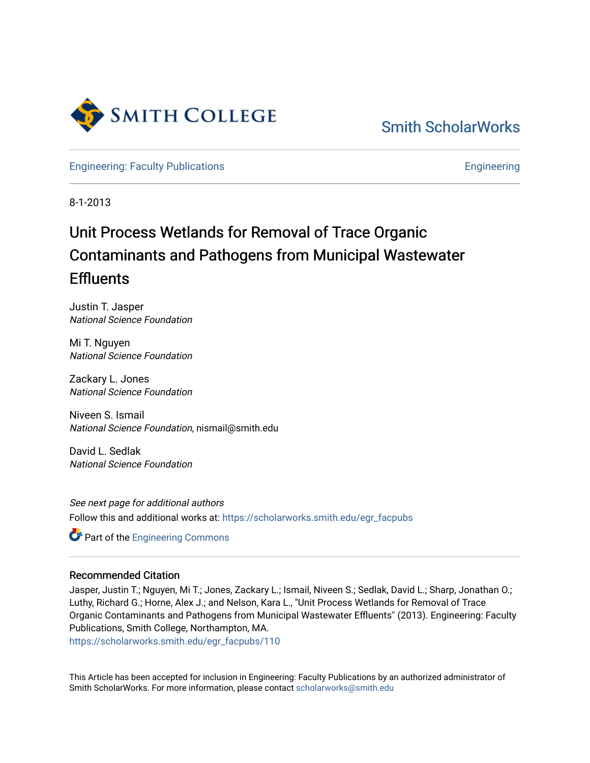

# [Smith ScholarWorks](https://scholarworks.smith.edu/)

[Engineering: Faculty Publications](https://scholarworks.smith.edu/egr_facpubs) [Engineering](https://scholarworks.smith.edu/egr) 

8-1-2013

# Unit Process Wetlands for Removal of Trace Organic Contaminants and Pathogens from Municipal Wastewater **Effluents**

Justin T. Jasper National Science Foundation

Mi T. Nguyen National Science Foundation

Zackary L. Jones National Science Foundation

Niveen S. Ismail National Science Foundation, nismail@smith.edu

David L. Sedlak National Science Foundation

See next page for additional authors Follow this and additional works at: [https://scholarworks.smith.edu/egr\\_facpubs](https://scholarworks.smith.edu/egr_facpubs?utm_source=scholarworks.smith.edu%2Fegr_facpubs%2F110&utm_medium=PDF&utm_campaign=PDFCoverPages) 

**C** Part of the [Engineering Commons](http://network.bepress.com/hgg/discipline/217?utm_source=scholarworks.smith.edu%2Fegr_facpubs%2F110&utm_medium=PDF&utm_campaign=PDFCoverPages)

### Recommended Citation

Jasper, Justin T.; Nguyen, Mi T.; Jones, Zackary L.; Ismail, Niveen S.; Sedlak, David L.; Sharp, Jonathan O.; Luthy, Richard G.; Horne, Alex J.; and Nelson, Kara L., "Unit Process Wetlands for Removal of Trace Organic Contaminants and Pathogens from Municipal Wastewater Effluents" (2013). Engineering: Faculty Publications, Smith College, Northampton, MA.

[https://scholarworks.smith.edu/egr\\_facpubs/110](https://scholarworks.smith.edu/egr_facpubs/110?utm_source=scholarworks.smith.edu%2Fegr_facpubs%2F110&utm_medium=PDF&utm_campaign=PDFCoverPages) 

This Article has been accepted for inclusion in Engineering: Faculty Publications by an authorized administrator of Smith ScholarWorks. For more information, please contact [scholarworks@smith.edu](mailto:scholarworks@smith.edu)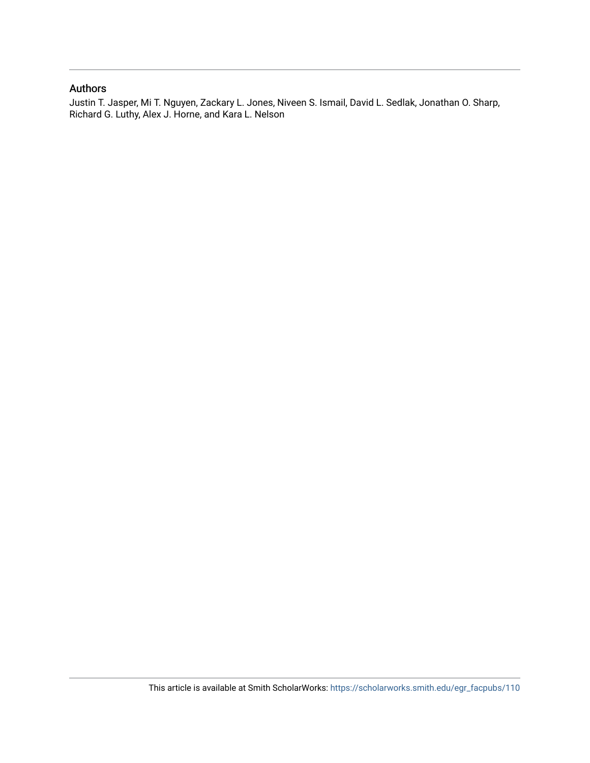### Authors

Justin T. Jasper, Mi T. Nguyen, Zackary L. Jones, Niveen S. Ismail, David L. Sedlak, Jonathan O. Sharp, Richard G. Luthy, Alex J. Horne, and Kara L. Nelson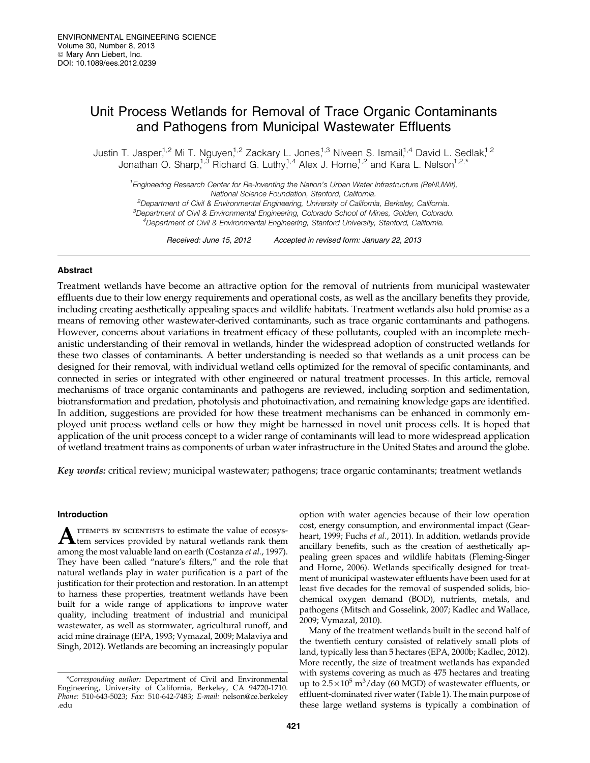## Unit Process Wetlands for Removal of Trace Organic Contaminants and Pathogens from Municipal Wastewater Effluents

Justin T. Jasper,<sup>1,2</sup> Mi T. Nguyen,<sup>1,2</sup> Zackary L. Jones,<sup>1,3</sup> Niveen S. Ismail,<sup>1,4</sup> David L. Sedlak,<sup>1,2</sup> Jonathan O. Sharp,<sup>1,3</sup> Richard G. Luthy,<sup>1,4</sup> Alex J. Horne,<sup>1,2</sup> and Kara L. Nelson<sup>1,2,\*</sup>

<sup>1</sup> Engineering Research Center for Re-Inventing the Nation's Urban Water Infrastructure (ReNUWIt),

National Science Foundation, Stanford, California. <sup>2</sup> Department of Civil & Environmental Engineering, University of California, Berkeley, California. 3 Department of Civil & Environmental Engineering, Colorado School of Mines, Golden, Colorado. <sup>4</sup> Department of Civil & Environmental Engineering, Stanford University, Stanford, California.

Received: June 15, 2012 Accepted in revised form: January 22, 2013

#### Abstract

Treatment wetlands have become an attractive option for the removal of nutrients from municipal wastewater effluents due to their low energy requirements and operational costs, as well as the ancillary benefits they provide, including creating aesthetically appealing spaces and wildlife habitats. Treatment wetlands also hold promise as a means of removing other wastewater-derived contaminants, such as trace organic contaminants and pathogens. However, concerns about variations in treatment efficacy of these pollutants, coupled with an incomplete mechanistic understanding of their removal in wetlands, hinder the widespread adoption of constructed wetlands for these two classes of contaminants. A better understanding is needed so that wetlands as a unit process can be designed for their removal, with individual wetland cells optimized for the removal of specific contaminants, and connected in series or integrated with other engineered or natural treatment processes. In this article, removal mechanisms of trace organic contaminants and pathogens are reviewed, including sorption and sedimentation, biotransformation and predation, photolysis and photoinactivation, and remaining knowledge gaps are identified. In addition, suggestions are provided for how these treatment mechanisms can be enhanced in commonly employed unit process wetland cells or how they might be harnessed in novel unit process cells. It is hoped that application of the unit process concept to a wider range of contaminants will lead to more widespread application of wetland treatment trains as components of urban water infrastructure in the United States and around the globe.

Key words: critical review; municipal wastewater; pathogens; trace organic contaminants; treatment wetlands

#### Introduction

 $A$ TTEMPTS BY SCIENTISTS to estimate the value of ecosys-<br>tem services provided by natural wetlands rank them among the most valuable land on earth (Costanza et al., 1997). They have been called ''nature's filters,'' and the role that natural wetlands play in water purification is a part of the justification for their protection and restoration. In an attempt to harness these properties, treatment wetlands have been built for a wide range of applications to improve water quality, including treatment of industrial and municipal wastewater, as well as stormwater, agricultural runoff, and acid mine drainage (EPA, 1993; Vymazal, 2009; Malaviya and Singh, 2012). Wetlands are becoming an increasingly popular option with water agencies because of their low operation cost, energy consumption, and environmental impact (Gearheart, 1999; Fuchs et al., 2011). In addition, wetlands provide ancillary benefits, such as the creation of aesthetically appealing green spaces and wildlife habitats (Fleming-Singer and Horne, 2006). Wetlands specifically designed for treatment of municipal wastewater effluents have been used for at least five decades for the removal of suspended solids, biochemical oxygen demand (BOD), nutrients, metals, and pathogens (Mitsch and Gosselink, 2007; Kadlec and Wallace, 2009; Vymazal, 2010).

Many of the treatment wetlands built in the second half of the twentieth century consisted of relatively small plots of land, typically less than 5 hectares (EPA, 2000b; Kadlec, 2012). More recently, the size of treatment wetlands has expanded with systems covering as much as 475 hectares and treating up to  $2.5 \times 10^5$  m<sup>3</sup>/day (60 MGD) of wastewater effluents, or effluent-dominated river water (Table 1). The main purpose of these large wetland systems is typically a combination of

<sup>\*</sup>Corresponding author: Department of Civil and Environmental Engineering, University of California, Berkeley, CA 94720-1710. Phone: 510-643-5023; Fax: 510-642-7483; E-mail: nelson@ce.berkeley .edu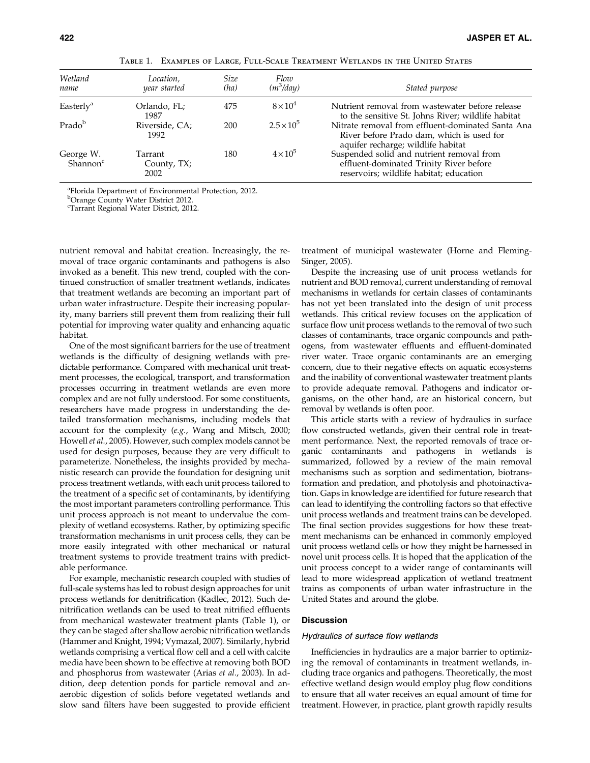| Wetland<br>name                   | <i>Location,</i><br>year started | Size<br>(ha) | Flow<br>$(m^3/day)$ | Stated purpose                                                                                                                       |
|-----------------------------------|----------------------------------|--------------|---------------------|--------------------------------------------------------------------------------------------------------------------------------------|
| Easterly <sup>a</sup>             | Orlando, FL;<br>1987             | 475          | $8\times10^4$       | Nutrient removal from wastewater before release<br>to the sensitive St. Johns River; wildlife habitat                                |
| Pradob                            | Riverside, CA;<br>1992           | 200          | $2.5 \times 10^5$   | Nitrate removal from effluent-dominated Santa Ana<br>River before Prado dam, which is used for<br>aquifer recharge; wildlife habitat |
| George W.<br>Shannon <sup>c</sup> | Tarrant<br>County, TX;<br>2002   | 180          | $4 \times 10^5$     | Suspended solid and nutrient removal from<br>effluent-dominated Trinity River before<br>reservoirs; wildlife habitat; education      |

Table 1. Examples of Large, Full-Scale Treatment Wetlands in the United States

<sup>a</sup>Florida Department of Environmental Protection, 2012.

b Orange County Water District 2012.

c Tarrant Regional Water District, 2012.

nutrient removal and habitat creation. Increasingly, the removal of trace organic contaminants and pathogens is also invoked as a benefit. This new trend, coupled with the continued construction of smaller treatment wetlands, indicates that treatment wetlands are becoming an important part of urban water infrastructure. Despite their increasing popularity, many barriers still prevent them from realizing their full potential for improving water quality and enhancing aquatic habitat.

One of the most significant barriers for the use of treatment wetlands is the difficulty of designing wetlands with predictable performance. Compared with mechanical unit treatment processes, the ecological, transport, and transformation processes occurring in treatment wetlands are even more complex and are not fully understood. For some constituents, researchers have made progress in understanding the detailed transformation mechanisms, including models that account for the complexity (e.g., Wang and Mitsch, 2000; Howell et al., 2005). However, such complex models cannot be used for design purposes, because they are very difficult to parameterize. Nonetheless, the insights provided by mechanistic research can provide the foundation for designing unit process treatment wetlands, with each unit process tailored to the treatment of a specific set of contaminants, by identifying the most important parameters controlling performance. This unit process approach is not meant to undervalue the complexity of wetland ecosystems. Rather, by optimizing specific transformation mechanisms in unit process cells, they can be more easily integrated with other mechanical or natural treatment systems to provide treatment trains with predictable performance.

For example, mechanistic research coupled with studies of full-scale systems has led to robust design approaches for unit process wetlands for denitrification (Kadlec, 2012). Such denitrification wetlands can be used to treat nitrified effluents from mechanical wastewater treatment plants (Table 1), or they can be staged after shallow aerobic nitrification wetlands (Hammer and Knight, 1994; Vymazal, 2007). Similarly, hybrid wetlands comprising a vertical flow cell and a cell with calcite media have been shown to be effective at removing both BOD and phosphorus from wastewater (Arias et al., 2003). In addition, deep detention ponds for particle removal and anaerobic digestion of solids before vegetated wetlands and slow sand filters have been suggested to provide efficient treatment of municipal wastewater (Horne and Fleming-Singer, 2005).

Despite the increasing use of unit process wetlands for nutrient and BOD removal, current understanding of removal mechanisms in wetlands for certain classes of contaminants has not yet been translated into the design of unit process wetlands. This critical review focuses on the application of surface flow unit process wetlands to the removal of two such classes of contaminants, trace organic compounds and pathogens, from wastewater effluents and effluent-dominated river water. Trace organic contaminants are an emerging concern, due to their negative effects on aquatic ecosystems and the inability of conventional wastewater treatment plants to provide adequate removal. Pathogens and indicator organisms, on the other hand, are an historical concern, but removal by wetlands is often poor.

This article starts with a review of hydraulics in surface flow constructed wetlands, given their central role in treatment performance. Next, the reported removals of trace organic contaminants and pathogens in wetlands is summarized, followed by a review of the main removal mechanisms such as sorption and sedimentation, biotransformation and predation, and photolysis and photoinactivation. Gaps in knowledge are identified for future research that can lead to identifying the controlling factors so that effective unit process wetlands and treatment trains can be developed. The final section provides suggestions for how these treatment mechanisms can be enhanced in commonly employed unit process wetland cells or how they might be harnessed in novel unit process cells. It is hoped that the application of the unit process concept to a wider range of contaminants will lead to more widespread application of wetland treatment trains as components of urban water infrastructure in the United States and around the globe.

#### **Discussion**

#### Hydraulics of surface flow wetlands

Inefficiencies in hydraulics are a major barrier to optimizing the removal of contaminants in treatment wetlands, including trace organics and pathogens. Theoretically, the most effective wetland design would employ plug flow conditions to ensure that all water receives an equal amount of time for treatment. However, in practice, plant growth rapidly results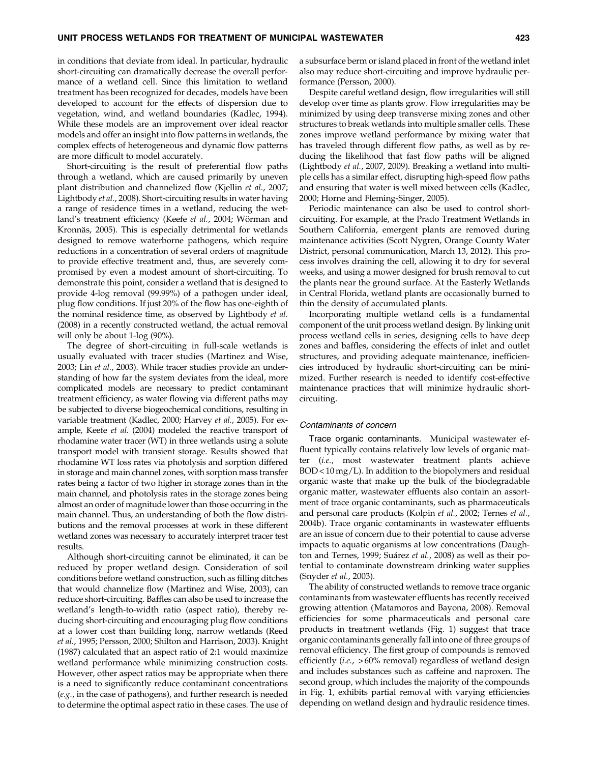in conditions that deviate from ideal. In particular, hydraulic short-circuiting can dramatically decrease the overall performance of a wetland cell. Since this limitation to wetland treatment has been recognized for decades, models have been developed to account for the effects of dispersion due to vegetation, wind, and wetland boundaries (Kadlec, 1994). While these models are an improvement over ideal reactor models and offer an insight into flow patterns in wetlands, the complex effects of heterogeneous and dynamic flow patterns are more difficult to model accurately.

Short-circuiting is the result of preferential flow paths through a wetland, which are caused primarily by uneven plant distribution and channelized flow (Kjellin et al., 2007; Lightbody et al., 2008). Short-circuiting results in water having a range of residence times in a wetland, reducing the wetland's treatment efficiency (Keefe et al., 2004; Wörman and Kronnäs, 2005). This is especially detrimental for wetlands designed to remove waterborne pathogens, which require reductions in a concentration of several orders of magnitude to provide effective treatment and, thus, are severely compromised by even a modest amount of short-circuiting. To demonstrate this point, consider a wetland that is designed to provide 4-log removal (99.99%) of a pathogen under ideal, plug flow conditions. If just 20% of the flow has one-eighth of the nominal residence time, as observed by Lightbody et al. (2008) in a recently constructed wetland, the actual removal will only be about 1-log (90%).

The degree of short-circuiting in full-scale wetlands is usually evaluated with tracer studies (Martinez and Wise, 2003; Lin et al., 2003). While tracer studies provide an understanding of how far the system deviates from the ideal, more complicated models are necessary to predict contaminant treatment efficiency, as water flowing via different paths may be subjected to diverse biogeochemical conditions, resulting in variable treatment (Kadlec, 2000; Harvey et al., 2005). For example, Keefe et al. (2004) modeled the reactive transport of rhodamine water tracer (WT) in three wetlands using a solute transport model with transient storage. Results showed that rhodamine WT loss rates via photolysis and sorption differed in storage and main channel zones, with sorption mass transfer rates being a factor of two higher in storage zones than in the main channel, and photolysis rates in the storage zones being almost an order of magnitude lower than those occurring in the main channel. Thus, an understanding of both the flow distributions and the removal processes at work in these different wetland zones was necessary to accurately interpret tracer test results.

Although short-circuiting cannot be eliminated, it can be reduced by proper wetland design. Consideration of soil conditions before wetland construction, such as filling ditches that would channelize flow (Martinez and Wise, 2003), can reduce short-circuiting. Baffles can also be used to increase the wetland's length-to-width ratio (aspect ratio), thereby reducing short-circuiting and encouraging plug flow conditions at a lower cost than building long, narrow wetlands (Reed et al., 1995; Persson, 2000; Shilton and Harrison, 2003). Knight (1987) calculated that an aspect ratio of 2:1 would maximize wetland performance while minimizing construction costs. However, other aspect ratios may be appropriate when there is a need to significantly reduce contaminant concentrations (e.g., in the case of pathogens), and further research is needed to determine the optimal aspect ratio in these cases. The use of

a subsurface berm or island placed in front of the wetland inlet also may reduce short-circuiting and improve hydraulic performance (Persson, 2000).

Despite careful wetland design, flow irregularities will still develop over time as plants grow. Flow irregularities may be minimized by using deep transverse mixing zones and other structures to break wetlands into multiple smaller cells. These zones improve wetland performance by mixing water that has traveled through different flow paths, as well as by reducing the likelihood that fast flow paths will be aligned (Lightbody et al., 2007, 2009). Breaking a wetland into multiple cells has a similar effect, disrupting high-speed flow paths and ensuring that water is well mixed between cells (Kadlec, 2000; Horne and Fleming-Singer, 2005).

Periodic maintenance can also be used to control shortcircuiting. For example, at the Prado Treatment Wetlands in Southern California, emergent plants are removed during maintenance activities (Scott Nygren, Orange County Water District, personal communication, March 13, 2012). This process involves draining the cell, allowing it to dry for several weeks, and using a mower designed for brush removal to cut the plants near the ground surface. At the Easterly Wetlands in Central Florida, wetland plants are occasionally burned to thin the density of accumulated plants.

Incorporating multiple wetland cells is a fundamental component of the unit process wetland design. By linking unit process wetland cells in series, designing cells to have deep zones and baffles, considering the effects of inlet and outlet structures, and providing adequate maintenance, inefficiencies introduced by hydraulic short-circuiting can be minimized. Further research is needed to identify cost-effective maintenance practices that will minimize hydraulic shortcircuiting.

#### Contaminants of concern

Trace organic contaminants. Municipal wastewater effluent typically contains relatively low levels of organic matter (i.e., most wastewater treatment plants achieve BOD < 10 mg/L). In addition to the biopolymers and residual organic waste that make up the bulk of the biodegradable organic matter, wastewater effluents also contain an assortment of trace organic contaminants, such as pharmaceuticals and personal care products (Kolpin et al., 2002; Ternes et al., 2004b). Trace organic contaminants in wastewater effluents are an issue of concern due to their potential to cause adverse impacts to aquatic organisms at low concentrations (Daughton and Ternes, 1999; Suárez et al., 2008) as well as their potential to contaminate downstream drinking water supplies (Snyder et al., 2003).

The ability of constructed wetlands to remove trace organic contaminants from wastewater effluents has recently received growing attention (Matamoros and Bayona, 2008). Removal efficiencies for some pharmaceuticals and personal care products in treatment wetlands (Fig. 1) suggest that trace organic contaminants generally fall into one of three groups of removal efficiency. The first group of compounds is removed efficiently (i.e., >60% removal) regardless of wetland design and includes substances such as caffeine and naproxen. The second group, which includes the majority of the compounds in Fig. 1, exhibits partial removal with varying efficiencies depending on wetland design and hydraulic residence times.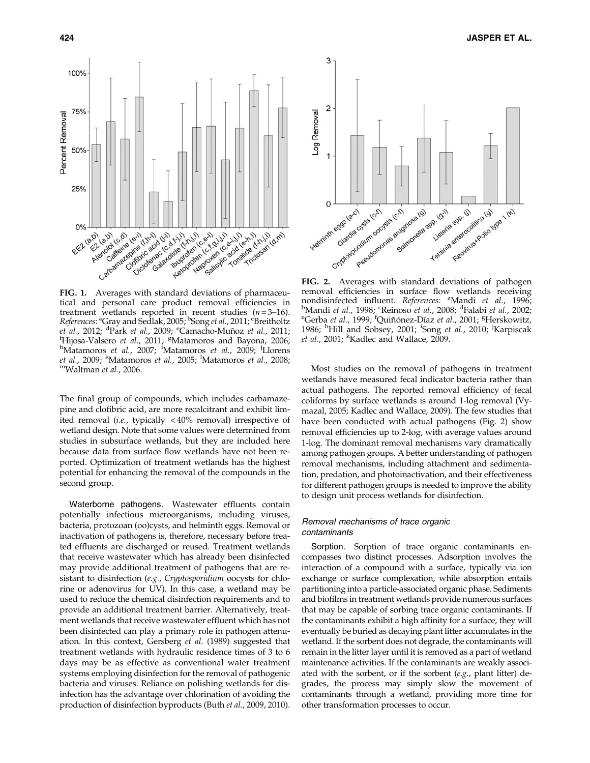

FIG. 1. Averages with standard deviations of pharmaceutical and personal care product removal efficiencies in treatment wetlands reported in recent studies  $(n=3-16)$ . References: <sup>a</sup>Gray and Sedlak, 2005; <sup>b</sup>Song et al., 2011; <sup>c</sup>Breitholtz et al., 2012; <sup>d</sup>Park et al., 2009; <sup>e</sup>Camacho-Muñoz et al., 2011;<br><sup>f</sup>Hijosa-Valsero *et al.*, 2011; §Matamoros and Bayona, 2006;  ${}^{f}$ Hijosa-Valsero *et al.*, 2011; <sup>g</sup>Matamoros and Bayona, 2006; https://www.patamoros.et.al., 2009; https://www. Matamoros et al., 2007; <sup>i</sup>Matamoros et al., 2009; <sup>j</sup>Llorens et al., 2009; <sup>k</sup>Matamoros et al., 2005; <sup>1</sup>Matamoros et al., 2008;<br><sup>m</sup>Waltman et al., 2006.

The final group of compounds, which includes carbamazepine and clofibric acid, are more recalcitrant and exhibit limited removal (i.e., typically < 40% removal) irrespective of wetland design. Note that some values were determined from studies in subsurface wetlands, but they are included here because data from surface flow wetlands have not been reported. Optimization of treatment wetlands has the highest potential for enhancing the removal of the compounds in the second group.

Waterborne pathogens. Wastewater effluents contain potentially infectious microorganisms, including viruses, bacteria, protozoan (oo)cysts, and helminth eggs. Removal or inactivation of pathogens is, therefore, necessary before treated effluents are discharged or reused. Treatment wetlands that receive wastewater which has already been disinfected may provide additional treatment of pathogens that are resistant to disinfection (e.g., Cryptosporidium oocysts for chlorine or adenovirus for UV). In this case, a wetland may be used to reduce the chemical disinfection requirements and to provide an additional treatment barrier. Alternatively, treatment wetlands that receive wastewater effluent which has not been disinfected can play a primary role in pathogen attenuation. In this context, Gersberg et al. (1989) suggested that treatment wetlands with hydraulic residence times of 3 to 6 days may be as effective as conventional water treatment systems employing disinfection for the removal of pathogenic bacteria and viruses. Reliance on polishing wetlands for disinfection has the advantage over chlorination of avoiding the production of disinfection byproducts (Buth et al., 2009, 2010).



removal efficiencies in surface flow wetlands receiving nondisinfected influent. *References*: <sup>a</sup>Mandi *et al.*, 1996;<br><sup>b</sup>Mandi *et al.*, 1998; <sup>c</sup>Reinoso *et al.*, 2008; <sup>d</sup>Ealabi *et al.*, 2002; <sup>b</sup>Mandi *et al.,* 1998; <sup>c</sup>Reinoso *et al.,* 2008; <sup>d</sup>Falabi *et al.,* 2002;<br><sup>e</sup>Gerba *et al.,* 1999; <sup>f</sup>Quiñónez-Díaz *et al.,* 2001; <sup>g</sup>Herskowitz, 1986; <sup>h</sup>Hill and Sobsey, 2001; <sup>i</sup>Song et al., 2010; <sup>j</sup>Karpiscak et al., 2001; <sup>k</sup>Kadlec and Wallace, 2009.

Most studies on the removal of pathogens in treatment wetlands have measured fecal indicator bacteria rather than actual pathogens. The reported removal efficiency of fecal coliforms by surface wetlands is around 1-log removal (Vymazal, 2005; Kadlec and Wallace, 2009). The few studies that have been conducted with actual pathogens (Fig. 2) show removal efficiencies up to 2-log, with average values around 1-log. The dominant removal mechanisms vary dramatically among pathogen groups. A better understanding of pathogen removal mechanisms, including attachment and sedimentation, predation, and photoinactivation, and their effectiveness for different pathogen groups is needed to improve the ability to design unit process wetlands for disinfection.

#### Removal mechanisms of trace organic contaminants

Sorption. Sorption of trace organic contaminants encompasses two distinct processes. Adsorption involves the interaction of a compound with a surface, typically via ion exchange or surface complexation, while absorption entails partitioning into a particle-associated organic phase. Sediments and biofilms in treatment wetlands provide numerous surfaces that may be capable of sorbing trace organic contaminants. If the contaminants exhibit a high affinity for a surface, they will eventually be buried as decaying plant litter accumulates in the wetland. If the sorbent does not degrade, the contaminants will remain in the litter layer until it is removed as a part of wetland maintenance activities. If the contaminants are weakly associated with the sorbent, or if the sorbent (e.g., plant litter) degrades, the process may simply slow the movement of contaminants through a wetland, providing more time for other transformation processes to occur.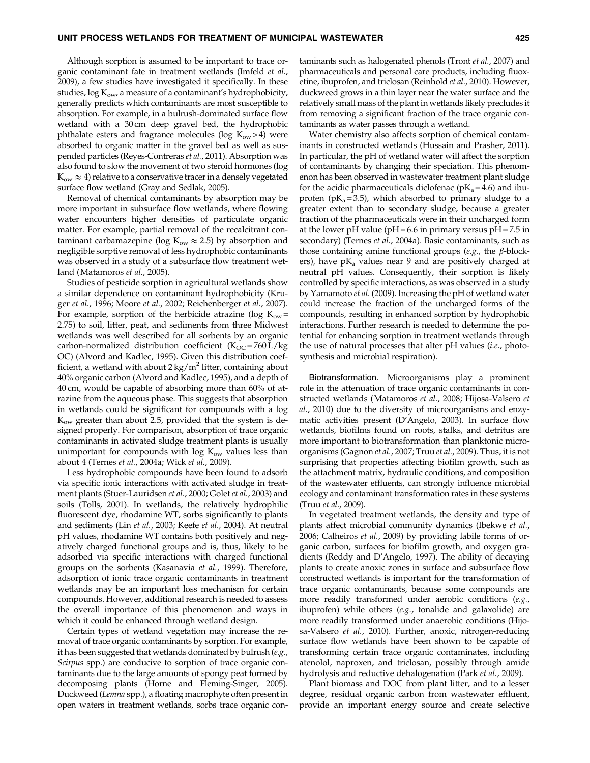Although sorption is assumed to be important to trace organic contaminant fate in treatment wetlands (Imfeld et al., 2009), a few studies have investigated it specifically. In these studies,  $\log K_{ow}$ , a measure of a contaminant's hydrophobicity, generally predicts which contaminants are most susceptible to absorption. For example, in a bulrush-dominated surface flow wetland with a 30 cm deep gravel bed, the hydrophobic phthalate esters and fragrance molecules (log  $K_{ow} > 4$ ) were absorbed to organic matter in the gravel bed as well as suspended particles (Reyes-Contreras et al., 2011). Absorption was also found to slow the movement of two steroid hormones (log  $K_{ow} \approx 4$ ) relative to a conservative tracer in a densely vegetated surface flow wetland (Gray and Sedlak, 2005).

Removal of chemical contaminants by absorption may be more important in subsurface flow wetlands, where flowing water encounters higher densities of particulate organic matter. For example, partial removal of the recalcitrant contaminant carbamazepine (log  $K_{ow} \approx 2.5$ ) by absorption and negligible sorptive removal of less hydrophobic contaminants was observed in a study of a subsurface flow treatment wetland (Matamoros et al., 2005).

Studies of pesticide sorption in agricultural wetlands show a similar dependence on contaminant hydrophobicity (Kruger et al., 1996; Moore et al., 2002; Reichenberger et al., 2007). For example, sorption of the herbicide atrazine (log  $K_{ow}$  = 2.75) to soil, litter, peat, and sediments from three Midwest wetlands was well described for all sorbents by an organic carbon-normalized distribution coefficient  $(K_{OC} = 760 \text{ L/kg})$ OC) (Alvord and Kadlec, 1995). Given this distribution coefficient, a wetland with about  $2 \text{ kg/m}^2$  litter, containing about 40% organic carbon (Alvord and Kadlec, 1995), and a depth of 40 cm, would be capable of absorbing more than 60% of atrazine from the aqueous phase. This suggests that absorption in wetlands could be significant for compounds with a log  $K_{ow}$  greater than about 2.5, provided that the system is designed properly. For comparison, absorption of trace organic contaminants in activated sludge treatment plants is usually unimportant for compounds with  $log K_{ow}$  values less than about 4 (Ternes et al., 2004a; Wick et al., 2009).

Less hydrophobic compounds have been found to adsorb via specific ionic interactions with activated sludge in treatment plants (Stuer-Lauridsen et al., 2000; Golet et al., 2003) and soils (Tolls, 2001). In wetlands, the relatively hydrophilic fluorescent dye, rhodamine WT, sorbs significantly to plants and sediments (Lin et al., 2003; Keefe et al., 2004). At neutral pH values, rhodamine WT contains both positively and negatively charged functional groups and is, thus, likely to be adsorbed via specific interactions with charged functional groups on the sorbents (Kasanavia et al., 1999). Therefore, adsorption of ionic trace organic contaminants in treatment wetlands may be an important loss mechanism for certain compounds. However, additional research is needed to assess the overall importance of this phenomenon and ways in which it could be enhanced through wetland design.

Certain types of wetland vegetation may increase the removal of trace organic contaminants by sorption. For example, it has been suggested that wetlands dominated by bulrush (e.g., Scirpus spp.) are conducive to sorption of trace organic contaminants due to the large amounts of spongy peat formed by decomposing plants (Horne and Fleming-Singer, 2005). Duckweed (Lemna spp.), a floating macrophyte often present in open waters in treatment wetlands, sorbs trace organic con-

taminants such as halogenated phenols (Tront et al., 2007) and pharmaceuticals and personal care products, including fluoxetine, ibuprofen, and triclosan (Reinhold et al., 2010). However, duckweed grows in a thin layer near the water surface and the relatively small mass of the plant in wetlands likely precludes it from removing a significant fraction of the trace organic contaminants as water passes through a wetland.

Water chemistry also affects sorption of chemical contaminants in constructed wetlands (Hussain and Prasher, 2011). In particular, the pH of wetland water will affect the sorption of contaminants by changing their speciation. This phenomenon has been observed in wastewater treatment plant sludge for the acidic pharmaceuticals diclofenac ( $pK_a = 4.6$ ) and ibuprofen ( $pK_a = 3.5$ ), which absorbed to primary sludge to a greater extent than to secondary sludge, because a greater fraction of the pharmaceuticals were in their uncharged form at the lower pH value ( $pH = 6.6$  in primary versus  $pH = 7.5$  in secondary) (Ternes *et al.*, 2004a). Basic contaminants, such as those containing amine functional groups (e.g., the  $\beta$ -blockers), have  $pK_a$  values near 9 and are positively charged at neutral pH values. Consequently, their sorption is likely controlled by specific interactions, as was observed in a study by Yamamoto et al. (2009). Increasing the pH of wetland water could increase the fraction of the uncharged forms of the compounds, resulting in enhanced sorption by hydrophobic interactions. Further research is needed to determine the potential for enhancing sorption in treatment wetlands through the use of natural processes that alter pH values (i.e., photosynthesis and microbial respiration).

Biotransformation. Microorganisms play a prominent role in the attenuation of trace organic contaminants in constructed wetlands (Matamoros et al., 2008; Hijosa-Valsero et al., 2010) due to the diversity of microorganisms and enzymatic activities present (D'Angelo, 2003). In surface flow wetlands, biofilms found on roots, stalks, and detritus are more important to biotransformation than planktonic microorganisms (Gagnon et al., 2007; Truu et al., 2009). Thus, it is not surprising that properties affecting biofilm growth, such as the attachment matrix, hydraulic conditions, and composition of the wastewater effluents, can strongly influence microbial ecology and contaminant transformation rates in these systems (Truu et al., 2009).

In vegetated treatment wetlands, the density and type of plants affect microbial community dynamics (Ibekwe et al., 2006; Calheiros et al., 2009) by providing labile forms of organic carbon, surfaces for biofilm growth, and oxygen gradients (Reddy and D'Angelo, 1997). The ability of decaying plants to create anoxic zones in surface and subsurface flow constructed wetlands is important for the transformation of trace organic contaminants, because some compounds are more readily transformed under aerobic conditions (e.g., ibuprofen) while others (e.g., tonalide and galaxolide) are more readily transformed under anaerobic conditions (Hijosa-Valsero et al., 2010). Further, anoxic, nitrogen-reducing surface flow wetlands have been shown to be capable of transforming certain trace organic contaminates, including atenolol, naproxen, and triclosan, possibly through amide hydrolysis and reductive dehalogenation (Park et al., 2009).

Plant biomass and DOC from plant litter, and to a lesser degree, residual organic carbon from wastewater effluent, provide an important energy source and create selective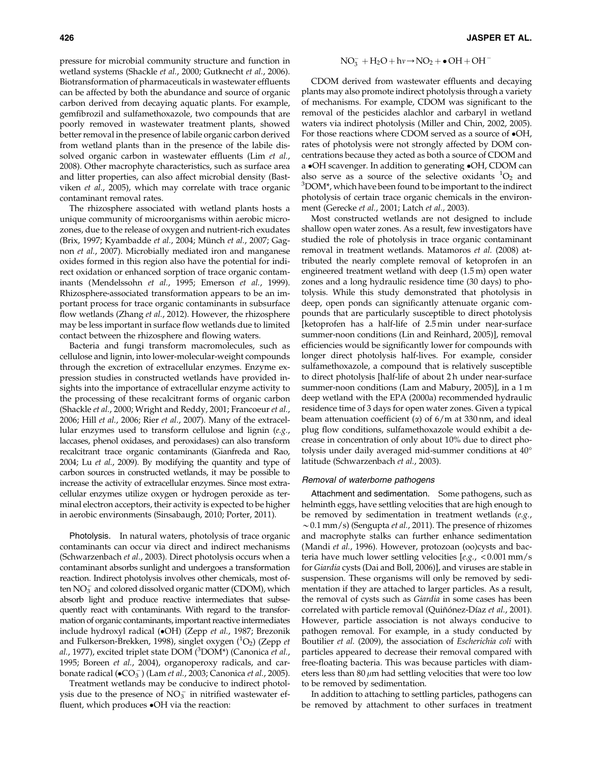pressure for microbial community structure and function in wetland systems (Shackle et al., 2000; Gutknecht et al., 2006). Biotransformation of pharmaceuticals in wastewater effluents can be affected by both the abundance and source of organic carbon derived from decaying aquatic plants. For example, gemfibrozil and sulfamethoxazole, two compounds that are poorly removed in wastewater treatment plants, showed better removal in the presence of labile organic carbon derived from wetland plants than in the presence of the labile dissolved organic carbon in wastewater effluents (Lim et al., 2008). Other macrophyte characteristics, such as surface area and litter properties, can also affect microbial density (Bastviken et al., 2005), which may correlate with trace organic contaminant removal rates.

The rhizosphere associated with wetland plants hosts a unique community of microorganisms within aerobic microzones, due to the release of oxygen and nutrient-rich exudates (Brix, 1997; Kyambadde *et al.*, 2004; Münch *et al.*, 2007; Gagnon et al., 2007). Microbially mediated iron and manganese oxides formed in this region also have the potential for indirect oxidation or enhanced sorption of trace organic contaminants (Mendelssohn et al., 1995; Emerson et al., 1999). Rhizosphere-associated transformation appears to be an important process for trace organic contaminants in subsurface flow wetlands (Zhang *et al.*, 2012). However, the rhizosphere may be less important in surface flow wetlands due to limited contact between the rhizosphere and flowing waters.

Bacteria and fungi transform macromolecules, such as cellulose and lignin, into lower-molecular-weight compounds through the excretion of extracellular enzymes. Enzyme expression studies in constructed wetlands have provided insights into the importance of extracellular enzyme activity to the processing of these recalcitrant forms of organic carbon (Shackle et al., 2000; Wright and Reddy, 2001; Francoeur et al., 2006; Hill et al., 2006; Rier et al., 2007). Many of the extracellular enzymes used to transform cellulose and lignin (e.g., laccases, phenol oxidases, and peroxidases) can also transform recalcitrant trace organic contaminants (Gianfreda and Rao, 2004; Lu et al., 2009). By modifying the quantity and type of carbon sources in constructed wetlands, it may be possible to increase the activity of extracellular enzymes. Since most extracellular enzymes utilize oxygen or hydrogen peroxide as terminal electron acceptors, their activity is expected to be higher in aerobic environments (Sinsabaugh, 2010; Porter, 2011).

Photolysis. In natural waters, photolysis of trace organic contaminants can occur via direct and indirect mechanisms (Schwarzenbach et al., 2003). Direct photolysis occurs when a contaminant absorbs sunlight and undergoes a transformation reaction. Indirect photolysis involves other chemicals, most often NO<sub>3</sub> and colored dissolved organic matter (CDOM), which absorb light and produce reactive intermediates that subsequently react with contaminants. With regard to the transformation of organic contaminants, important reactive intermediates include hydroxyl radical ( $\bullet$ OH) (Zepp et al., 1987; Brezonik and Fulkerson-Brekken, 1998), singlet oxygen  $(^1O_2)$  (Zepp et al., 1977), excited triplet state DOM (<sup>3</sup>DOM\*) (Canonica et al., 1995; Boreen et al., 2004), organoperoxy radicals, and carbonate radical ( $\rm{eCO_3^-}$ ) (Lam *et al.*, 2003; Canonica *et al.*, 2005).

Treatment wetlands may be conducive to indirect photolysis due to the presence of  $NO<sub>3</sub><sup>-</sup>$  in nitrified wastewater effluent, which produces -OH via the reaction:

$$
NO_3^- + H_2O + h\nu \!\rightarrow\! NO_2 + \bullet OH + OH^-
$$

CDOM derived from wastewater effluents and decaying plants may also promote indirect photolysis through a variety of mechanisms. For example, CDOM was significant to the removal of the pesticides alachlor and carbaryl in wetland waters via indirect photolysis (Miller and Chin, 2002, 2005). For those reactions where CDOM served as a source of  $\bullet$ OH, rates of photolysis were not strongly affected by DOM concentrations because they acted as both a source of CDOM and a -OH scavenger. In addition to generating -OH, CDOM can also serve as a source of the selective oxidants  ${}^{1}O_{2}$  and  ${}^{3}POM^{*}$  which have been found to be important to the indirect  $3$ DOM $*$ , which have been found to be important to the indirect photolysis of certain trace organic chemicals in the environment (Gerecke et al., 2001; Latch et al., 2003).

Most constructed wetlands are not designed to include shallow open water zones. As a result, few investigators have studied the role of photolysis in trace organic contaminant removal in treatment wetlands. Matamoros et al. (2008) attributed the nearly complete removal of ketoprofen in an engineered treatment wetland with deep (1.5 m) open water zones and a long hydraulic residence time (30 days) to photolysis. While this study demonstrated that photolysis in deep, open ponds can significantly attenuate organic compounds that are particularly susceptible to direct photolysis [ketoprofen has a half-life of 2.5 min under near-surface summer-noon conditions (Lin and Reinhard, 2005)], removal efficiencies would be significantly lower for compounds with longer direct photolysis half-lives. For example, consider sulfamethoxazole, a compound that is relatively susceptible to direct photolysis [half-life of about 2 h under near-surface summer-noon conditions (Lam and Mabury, 2005)], in a 1 m deep wetland with the EPA (2000a) recommended hydraulic residence time of 3 days for open water zones. Given a typical beam attenuation coefficient ( $\alpha$ ) of 6/m at 330 nm, and ideal plug flow conditions, sulfamethoxazole would exhibit a decrease in concentration of only about 10% due to direct photolysis under daily averaged mid-summer conditions at 40° latitude (Schwarzenbach et al., 2003).

#### Removal of waterborne pathogens

Attachment and sedimentation. Some pathogens, such as helminth eggs, have settling velocities that are high enough to be removed by sedimentation in treatment wetlands (e.g.,  $\sim$  0.1 mm/s) (Sengupta *et al.*, 2011). The presence of rhizomes and macrophyte stalks can further enhance sedimentation (Mandi et al., 1996). However, protozoan (oo)cysts and bacteria have much lower settling velocities [e.g., < 0.001 mm/s for Giardia cysts (Dai and Boll, 2006)], and viruses are stable in suspension. These organisms will only be removed by sedimentation if they are attached to larger particles. As a result, the removal of cysts such as Giardia in some cases has been correlated with particle removal (Quiñónez-Díaz et al., 2001). However, particle association is not always conducive to pathogen removal. For example, in a study conducted by Boutilier et al. (2009), the association of Escherichia coli with particles appeared to decrease their removal compared with free-floating bacteria. This was because particles with diameters less than 80  $\mu$ m had settling velocities that were too low to be removed by sedimentation.

In addition to attaching to settling particles, pathogens can be removed by attachment to other surfaces in treatment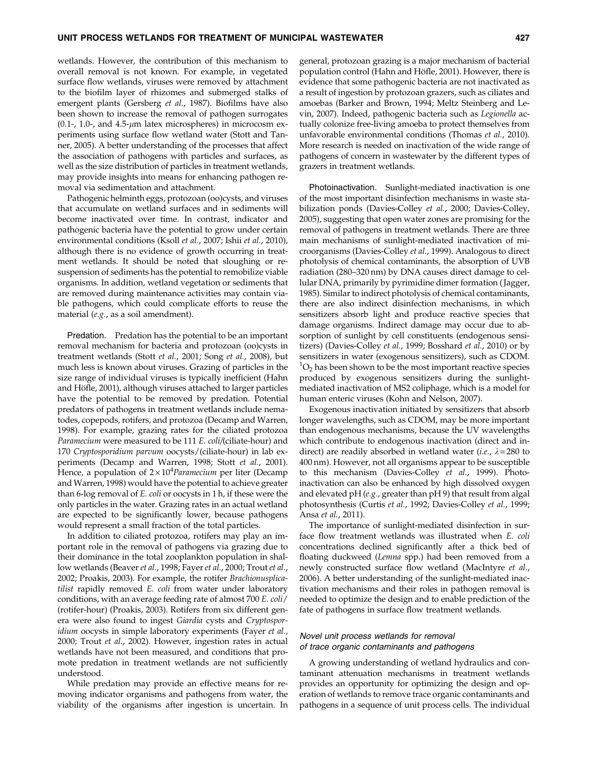wetlands. However, the contribution of this mechanism to overall removal is not known. For example, in vegetated surface flow wetlands, viruses were removed by attachment to the biofilm layer of rhizomes and submerged stalks of emergent plants (Gersberg et al., 1987). Biofilms have also been shown to increase the removal of pathogen surrogates  $(0.1-, 1.0-,$  and  $4.5$ - $\mu$ m latex microspheres) in microcosm experiments using surface flow wetland water (Stott and Tanner, 2005). A better understanding of the processes that affect the association of pathogens with particles and surfaces, as well as the size distribution of particles in treatment wetlands, may provide insights into means for enhancing pathogen removal via sedimentation and attachment.

Pathogenic helminth eggs, protozoan (oo)cysts, and viruses that accumulate on wetland surfaces and in sediments will become inactivated over time. In contrast, indicator and pathogenic bacteria have the potential to grow under certain environmental conditions (Ksoll et al., 2007; Ishii et al., 2010), although there is no evidence of growth occurring in treatment wetlands. It should be noted that sloughing or resuspension of sediments has the potential to remobilize viable organisms. In addition, wetland vegetation or sediments that are removed during maintenance activities may contain viable pathogens, which could complicate efforts to reuse the material (*e.g.*, as a soil amendment).

Predation. Predation has the potential to be an important removal mechanism for bacteria and protozoan (oo)cysts in treatment wetlands (Stott et al., 2001; Song et al., 2008), but much less is known about viruses. Grazing of particles in the size range of individual viruses is typically inefficient (Hahn and Höfle, 2001), although viruses attached to larger particles have the potential to be removed by predation. Potential predators of pathogens in treatment wetlands include nematodes, copepods, rotifers, and protozoa (Decamp and Warren, 1998). For example, grazing rates for the ciliated protozoa Paramecium were measured to be 111 E. coli/(ciliate-hour) and 170 Cryptosporidium parvum oocysts/(ciliate-hour) in lab experiments (Decamp and Warren, 1998; Stott et al., 2001). Hence, a population of 2×10<sup>4</sup>Paramecium per liter (Decamp and Warren, 1998) would have the potential to achieve greater than 6-log removal of E. coli or oocysts in 1 h, if these were the only particles in the water. Grazing rates in an actual wetland are expected to be significantly lower, because pathogens would represent a small fraction of the total particles.

In addition to ciliated protozoa, rotifers may play an important role in the removal of pathogens via grazing due to their dominance in the total zooplankton population in shallow wetlands (Beaver et al., 1998; Fayer et al., 2000; Trout et al., 2002; Proakis, 2003). For example, the rotifer Brachionusplicatilist rapidly removed E. coli from water under laboratory conditions, with an average feeding rate of almost 700 E. coli/ (rotifer-hour) (Proakis, 2003). Rotifers from six different genera were also found to ingest Giardia cysts and Cryptosporidium oocysts in simple laboratory experiments (Fayer et al., 2000; Trout et al., 2002). However, ingestion rates in actual wetlands have not been measured, and conditions that promote predation in treatment wetlands are not sufficiently understood.

While predation may provide an effective means for removing indicator organisms and pathogens from water, the viability of the organisms after ingestion is uncertain. In general, protozoan grazing is a major mechanism of bacterial population control (Hahn and Höfle, 2001). However, there is evidence that some pathogenic bacteria are not inactivated as a result of ingestion by protozoan grazers, such as ciliates and amoebas (Barker and Brown, 1994; Meltz Steinberg and Levin, 2007). Indeed, pathogenic bacteria such as Legionella actually colonize free-living amoeba to protect themselves from unfavorable environmental conditions (Thomas et al., 2010). More research is needed on inactivation of the wide range of pathogens of concern in wastewater by the different types of grazers in treatment wetlands.

Photoinactivation. Sunlight-mediated inactivation is one of the most important disinfection mechanisms in waste stabilization ponds (Davies-Colley et al., 2000; Davies-Colley, 2005), suggesting that open water zones are promising for the removal of pathogens in treatment wetlands. There are three main mechanisms of sunlight-mediated inactivation of microorganisms (Davies-Colley et al., 1999). Analogous to direct photolysis of chemical contaminants, the absorption of UVB radiation (280–320 nm) by DNA causes direct damage to cellular DNA, primarily by pyrimidine dimer formation ( Jagger, 1985). Similar to indirect photolysis of chemical contaminants, there are also indirect disinfection mechanisms, in which sensitizers absorb light and produce reactive species that damage organisms. Indirect damage may occur due to absorption of sunlight by cell constituents (endogenous sensitizers) (Davies-Colley et al., 1999; Bosshard et al., 2010) or by sensitizers in water (exogenous sensitizers), such as CDOM.  ${}^{1}O_{2}$  has been shown to be the most important reactive species produced by exogenous sensitizers during the sunlightmediated inactivation of MS2 coliphage, which is a model for human enteric viruses (Kohn and Nelson, 2007).

Exogenous inactivation initiated by sensitizers that absorb longer wavelengths, such as CDOM, may be more important than endogenous mechanisms, because the UV wavelengths which contribute to endogenous inactivation (direct and indirect) are readily absorbed in wetland water (*i.e.*,  $\lambda = 280$  to 400 nm). However, not all organisms appear to be susceptible to this mechanism (Davies-Colley et al., 1999). Photoinactivation can also be enhanced by high dissolved oxygen and elevated pH  $(e.g., g$ reater than pH 9) that result from algal photosynthesis (Curtis et al., 1992; Davies-Colley et al., 1999; Ansa et al., 2011).

The importance of sunlight-mediated disinfection in surface flow treatment wetlands was illustrated when E. coli concentrations declined significantly after a thick bed of floating duckweed (Lemna spp.) had been removed from a newly constructed surface flow wetland (MacIntyre et al., 2006). A better understanding of the sunlight-mediated inactivation mechanisms and their roles in pathogen removal is needed to optimize the design and to enable prediction of the fate of pathogens in surface flow treatment wetlands.

#### Novel unit process wetlands for removal of trace organic contaminants and pathogens

A growing understanding of wetland hydraulics and contaminant attenuation mechanisms in treatment wetlands provides an opportunity for optimizing the design and operation of wetlands to remove trace organic contaminants and pathogens in a sequence of unit process cells. The individual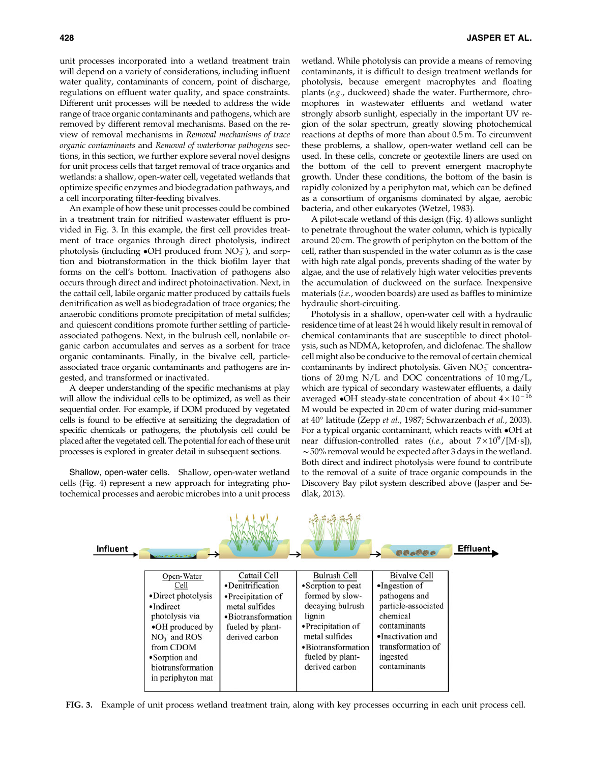unit processes incorporated into a wetland treatment train will depend on a variety of considerations, including influent water quality, contaminants of concern, point of discharge, regulations on effluent water quality, and space constraints. Different unit processes will be needed to address the wide range of trace organic contaminants and pathogens, which are removed by different removal mechanisms. Based on the review of removal mechanisms in Removal mechanisms of trace organic contaminants and Removal of waterborne pathogens sections, in this section, we further explore several novel designs for unit process cells that target removal of trace organics and wetlands: a shallow, open-water cell, vegetated wetlands that optimize specific enzymes and biodegradation pathways, and a cell incorporating filter-feeding bivalves.

An example of how these unit processes could be combined in a treatment train for nitrified wastewater effluent is provided in Fig. 3. In this example, the first cell provides treatment of trace organics through direct photolysis, indirect photolysis (including  $\bullet$ OH produced from NO<sub>3</sub>), and sorption and biotransformation in the thick biofilm layer that forms on the cell's bottom. Inactivation of pathogens also occurs through direct and indirect photoinactivation. Next, in the cattail cell, labile organic matter produced by cattails fuels denitrification as well as biodegradation of trace organics; the anaerobic conditions promote precipitation of metal sulfides; and quiescent conditions promote further settling of particleassociated pathogens. Next, in the bulrush cell, nonlabile organic carbon accumulates and serves as a sorbent for trace organic contaminants. Finally, in the bivalve cell, particleassociated trace organic contaminants and pathogens are ingested, and transformed or inactivated.

A deeper understanding of the specific mechanisms at play will allow the individual cells to be optimized, as well as their sequential order. For example, if DOM produced by vegetated cells is found to be effective at sensitizing the degradation of specific chemicals or pathogens, the photolysis cell could be placed after the vegetated cell. The potential for each of these unit processes is explored in greater detail in subsequent sections.

Shallow, open-water cells. Shallow, open-water wetland cells (Fig. 4) represent a new approach for integrating photochemical processes and aerobic microbes into a unit process wetland. While photolysis can provide a means of removing contaminants, it is difficult to design treatment wetlands for photolysis, because emergent macrophytes and floating plants (e.g., duckweed) shade the water. Furthermore, chromophores in wastewater effluents and wetland water strongly absorb sunlight, especially in the important UV region of the solar spectrum, greatly slowing photochemical reactions at depths of more than about 0.5 m. To circumvent these problems, a shallow, open-water wetland cell can be used. In these cells, concrete or geotextile liners are used on the bottom of the cell to prevent emergent macrophyte growth. Under these conditions, the bottom of the basin is rapidly colonized by a periphyton mat, which can be defined as a consortium of organisms dominated by algae, aerobic bacteria, and other eukaryotes (Wetzel, 1983).

A pilot-scale wetland of this design (Fig. 4) allows sunlight to penetrate throughout the water column, which is typically around 20 cm. The growth of periphyton on the bottom of the cell, rather than suspended in the water column as is the case with high rate algal ponds, prevents shading of the water by algae, and the use of relatively high water velocities prevents the accumulation of duckweed on the surface. Inexpensive materials (i.e., wooden boards) are used as baffles to minimize hydraulic short-circuiting.

Photolysis in a shallow, open-water cell with a hydraulic residence time of at least 24 h would likely result in removal of chemical contaminants that are susceptible to direct photolysis, such as NDMA, ketoprofen, and diclofenac. The shallow cell might also be conducive to the removal of certain chemical contaminants by indirect photolysis. Given  $NO_3^-$  concentrations of 20 mg N/L and DOC concentrations of 10 mg/L, which are typical of secondary wastewater effluents, a daily averaged  $\bullet$ OH steady-state concentration of about  $4\times10^{-16}$ M would be expected in 20 cm of water during mid-summer at 40° latitude (Zepp et al., 1987; Schwarzenbach et al., 2003). For a typical organic contaminant, which reacts with -OH at near diffusion-controlled rates (*i.e.*, about  $7 \times 10^9 / [M \cdot s]$ ),  $\sim$  50% removal would be expected after 3 days in the wetland. Both direct and indirect photolysis were found to contribute to the removal of a suite of trace organic compounds in the Discovery Bay pilot system described above (Jasper and Sedlak, 2013).



FIG. 3. Example of unit process wetland treatment train, along with key processes occurring in each unit process cell.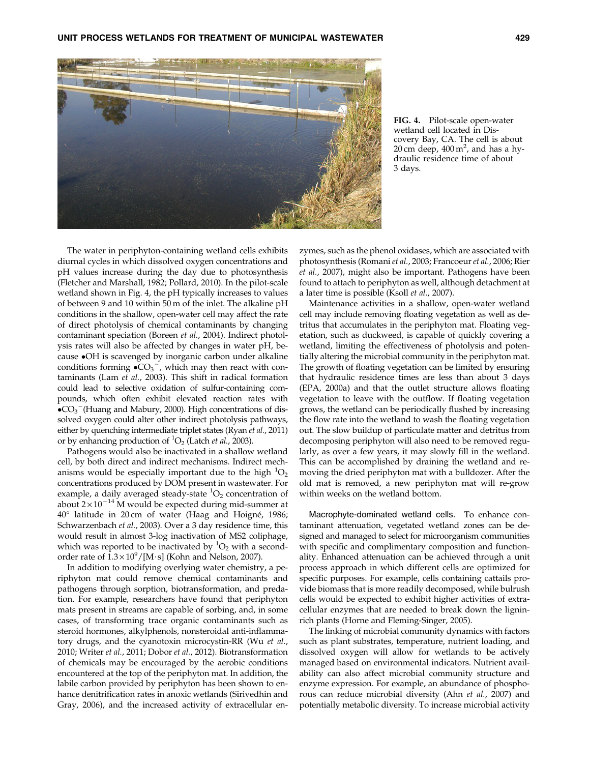

FIG. 4. Pilot-scale open-water wetland cell located in Discovery Bay, CA. The cell is about 20 cm deep,  $400 \,\mathrm{m}^2$ , and has a hydraulic residence time of about 3 days.

The water in periphyton-containing wetland cells exhibits diurnal cycles in which dissolved oxygen concentrations and pH values increase during the day due to photosynthesis (Fletcher and Marshall, 1982; Pollard, 2010). In the pilot-scale wetland shown in Fig. 4, the pH typically increases to values of between 9 and 10 within 50 m of the inlet. The alkaline pH conditions in the shallow, open-water cell may affect the rate of direct photolysis of chemical contaminants by changing contaminant speciation (Boreen et al., 2004). Indirect photolysis rates will also be affected by changes in water pH, because  $\bullet$ OH is scavenged by inorganic carbon under alkaline conditions forming  $\mathbf{C}\mathbf{O}_3$ , which may then react with contaminants (Lam et al., 2003). This shift in radical formation could lead to selective oxidation of sulfur-containing compounds, which often exhibit elevated reaction rates with  $\bullet$  CO<sub>3</sub><sup> $-$ </sup>(Huang and Mabury, 2000). High concentrations of dissolved oxygen could alter other indirect photolysis pathways, either by quenching intermediate triplet states (Ryan et al., 2011) or by enhancing production of  ${}^{1}O_{2}$  (Latch *et al.*, 2003).

Pathogens would also be inactivated in a shallow wetland cell, by both direct and indirect mechanisms. Indirect mechanisms would be especially important due to the high  $^{1}O_{2}$ concentrations produced by DOM present in wastewater. For example, a daily averaged steady-state  ${}^{1}O_{2}$  concentration of about  $2 \times 10^{-14}$  M would be expected during mid-summer at 40° latitude in 20cm of water (Haag and Hoigné, 1986; Schwarzenbach et al., 2003). Over a 3 day residence time, this would result in almost 3-log inactivation of MS2 coliphage, which was reported to be inactivated by  ${}^{1}O_{2}$  with a secondorder rate of  $1.3\times10^9/[M\cdot s]$  (Kohn and Nelson, 2007).

In addition to modifying overlying water chemistry, a periphyton mat could remove chemical contaminants and pathogens through sorption, biotransformation, and predation. For example, researchers have found that periphyton mats present in streams are capable of sorbing, and, in some cases, of transforming trace organic contaminants such as steroid hormones, alkylphenols, nonsteroidal anti-inflammatory drugs, and the cyanotoxin microcystin-RR (Wu et al., 2010; Writer et al., 2011; Dobor et al., 2012). Biotransformation of chemicals may be encouraged by the aerobic conditions encountered at the top of the periphyton mat. In addition, the labile carbon provided by periphyton has been shown to enhance denitrification rates in anoxic wetlands (Sirivedhin and Gray, 2006), and the increased activity of extracellular enzymes, such as the phenol oxidases, which are associated with photosynthesis (Romani et al., 2003; Francoeur et al., 2006; Rier et al., 2007), might also be important. Pathogens have been found to attach to periphyton as well, although detachment at a later time is possible (Ksoll et al., 2007).

Maintenance activities in a shallow, open-water wetland cell may include removing floating vegetation as well as detritus that accumulates in the periphyton mat. Floating vegetation, such as duckweed, is capable of quickly covering a wetland, limiting the effectiveness of photolysis and potentially altering the microbial community in the periphyton mat. The growth of floating vegetation can be limited by ensuring that hydraulic residence times are less than about 3 days (EPA, 2000a) and that the outlet structure allows floating vegetation to leave with the outflow. If floating vegetation grows, the wetland can be periodically flushed by increasing the flow rate into the wetland to wash the floating vegetation out. The slow buildup of particulate matter and detritus from decomposing periphyton will also need to be removed regularly, as over a few years, it may slowly fill in the wetland. This can be accomplished by draining the wetland and removing the dried periphyton mat with a bulldozer. After the old mat is removed, a new periphyton mat will re-grow within weeks on the wetland bottom.

Macrophyte-dominated wetland cells. To enhance contaminant attenuation, vegetated wetland zones can be designed and managed to select for microorganism communities with specific and complimentary composition and functionality. Enhanced attenuation can be achieved through a unit process approach in which different cells are optimized for specific purposes. For example, cells containing cattails provide biomass that is more readily decomposed, while bulrush cells would be expected to exhibit higher activities of extracellular enzymes that are needed to break down the ligninrich plants (Horne and Fleming-Singer, 2005).

The linking of microbial community dynamics with factors such as plant substrates, temperature, nutrient loading, and dissolved oxygen will allow for wetlands to be actively managed based on environmental indicators. Nutrient availability can also affect microbial community structure and enzyme expression. For example, an abundance of phosphorous can reduce microbial diversity (Ahn et al., 2007) and potentially metabolic diversity. To increase microbial activity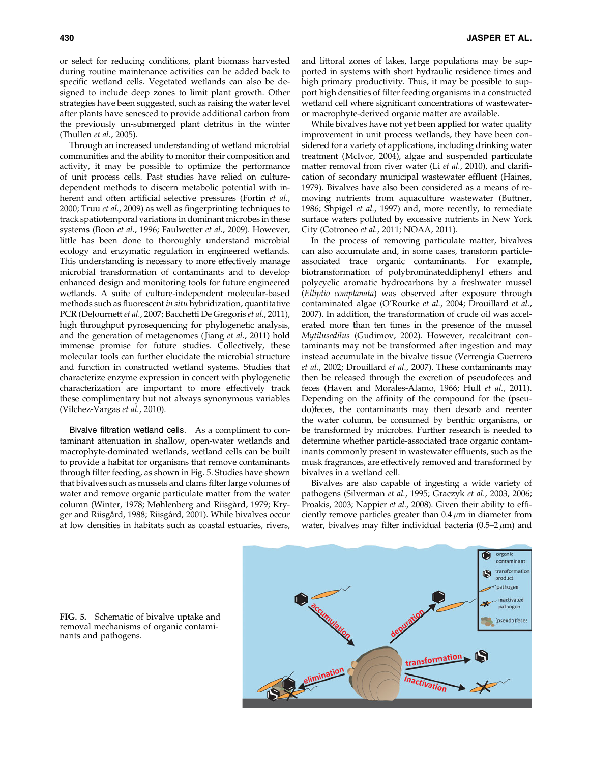or select for reducing conditions, plant biomass harvested during routine maintenance activities can be added back to specific wetland cells. Vegetated wetlands can also be designed to include deep zones to limit plant growth. Other strategies have been suggested, such as raising the water level after plants have senesced to provide additional carbon from the previously un-submerged plant detritus in the winter (Thullen et al., 2005).

Through an increased understanding of wetland microbial communities and the ability to monitor their composition and activity, it may be possible to optimize the performance of unit process cells. Past studies have relied on culturedependent methods to discern metabolic potential with inherent and often artificial selective pressures (Fortin et al., 2000; Truu et al., 2009) as well as fingerprinting techniques to track spatiotemporal variations in dominant microbes in these systems (Boon et al., 1996; Faulwetter et al., 2009). However, little has been done to thoroughly understand microbial ecology and enzymatic regulation in engineered wetlands. This understanding is necessary to more effectively manage microbial transformation of contaminants and to develop enhanced design and monitoring tools for future engineered wetlands. A suite of culture-independent molecular-based methods such as fluorescent in situ hybridization, quantitative PCR (DeJournett et al., 2007; Bacchetti De Gregoris et al., 2011), high throughput pyrosequencing for phylogenetic analysis, and the generation of metagenomes (Jiang et al., 2011) hold immense promise for future studies. Collectively, these molecular tools can further elucidate the microbial structure and function in constructed wetland systems. Studies that characterize enzyme expression in concert with phylogenetic characterization are important to more effectively track these complimentary but not always synonymous variables (Vilchez-Vargas et al., 2010).

Bivalve filtration wetland cells. As a compliment to contaminant attenuation in shallow, open-water wetlands and macrophyte-dominated wetlands, wetland cells can be built to provide a habitat for organisms that remove contaminants through filter feeding, as shown in Fig. 5. Studies have shown that bivalves such as mussels and clams filter large volumes of water and remove organic particulate matter from the water column (Winter, 1978; Møhlenberg and Riisgård, 1979; Kryger and Riisgård, 1988; Riisgård, 2001). While bivalves occur at low densities in habitats such as coastal estuaries, rivers,

and littoral zones of lakes, large populations may be supported in systems with short hydraulic residence times and high primary productivity. Thus, it may be possible to support high densities of filter feeding organisms in a constructed wetland cell where significant concentrations of wastewateror macrophyte-derived organic matter are available.

While bivalves have not yet been applied for water quality improvement in unit process wetlands, they have been considered for a variety of applications, including drinking water treatment (McIvor, 2004), algae and suspended particulate matter removal from river water (Li et al., 2010), and clarification of secondary municipal wastewater effluent (Haines, 1979). Bivalves have also been considered as a means of removing nutrients from aquaculture wastewater (Buttner, 1986; Shpigel et al., 1997) and, more recently, to remediate surface waters polluted by excessive nutrients in New York City (Cotroneo et al., 2011; NOAA, 2011).

In the process of removing particulate matter, bivalves can also accumulate and, in some cases, transform particleassociated trace organic contaminants. For example, biotransformation of polybrominateddiphenyl ethers and polycyclic aromatic hydrocarbons by a freshwater mussel (Elliptio complanata) was observed after exposure through contaminated algae (O'Rourke et al., 2004; Drouillard et al., 2007). In addition, the transformation of crude oil was accelerated more than ten times in the presence of the mussel Mytilusedilus (Gudimov, 2002). However, recalcitrant contaminants may not be transformed after ingestion and may instead accumulate in the bivalve tissue (Verrengia Guerrero et al., 2002; Drouillard et al., 2007). These contaminants may then be released through the excretion of pseudofeces and feces (Haven and Morales-Alamo, 1966; Hull et al., 2011). Depending on the affinity of the compound for the (pseudo)feces, the contaminants may then desorb and reenter the water column, be consumed by benthic organisms, or be transformed by microbes. Further research is needed to determine whether particle-associated trace organic contaminants commonly present in wastewater effluents, such as the musk fragrances, are effectively removed and transformed by bivalves in a wetland cell.

Bivalves are also capable of ingesting a wide variety of pathogens (Silverman et al., 1995; Graczyk et al., 2003, 2006; Proakis, 2003; Nappier et al., 2008). Given their ability to efficiently remove particles greater than  $0.4 \mu m$  in diameter from water, bivalves may filter individual bacteria  $(0.5-2 \mu m)$  and



FIG. 5. Schematic of bivalve uptake and removal mechanisms of organic contaminants and pathogens.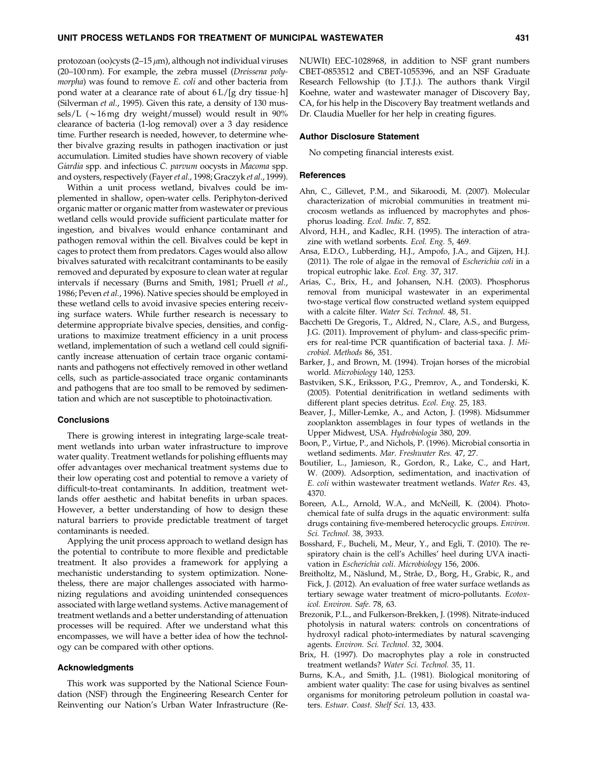protozoan (oo)cysts  $(2-15 \mu m)$ , although not individual viruses (20–100 nm). For example, the zebra mussel (Dreissena polymorpha) was found to remove E. coli and other bacteria from pond water at a clearance rate of about  $6 L/[g \, d\tau y \, t \sinh \theta]$ (Silverman et al., 1995). Given this rate, a density of 130 mussels/L ( $\sim$ 16mg dry weight/mussel) would result in 90% clearance of bacteria (1-log removal) over a 3 day residence time. Further research is needed, however, to determine whether bivalve grazing results in pathogen inactivation or just accumulation. Limited studies have shown recovery of viable Giardia spp. and infectious C. parvum oocysts in Macoma spp. and oysters, respectively (Fayer et al., 1998; Graczyk et al., 1999).

Within a unit process wetland, bivalves could be implemented in shallow, open-water cells. Periphyton-derived organic matter or organic matter from wastewater or previous wetland cells would provide sufficient particulate matter for ingestion, and bivalves would enhance contaminant and pathogen removal within the cell. Bivalves could be kept in cages to protect them from predators. Cages would also allow bivalves saturated with recalcitrant contaminants to be easily removed and depurated by exposure to clean water at regular intervals if necessary (Burns and Smith, 1981; Pruell et al., 1986; Peven et al., 1996). Native species should be employed in these wetland cells to avoid invasive species entering receiving surface waters. While further research is necessary to determine appropriate bivalve species, densities, and configurations to maximize treatment efficiency in a unit process wetland, implementation of such a wetland cell could significantly increase attenuation of certain trace organic contaminants and pathogens not effectively removed in other wetland cells, such as particle-associated trace organic contaminants and pathogens that are too small to be removed by sedimentation and which are not susceptible to photoinactivation.

#### **Conclusions**

There is growing interest in integrating large-scale treatment wetlands into urban water infrastructure to improve water quality. Treatment wetlands for polishing effluents may offer advantages over mechanical treatment systems due to their low operating cost and potential to remove a variety of difficult-to-treat contaminants. In addition, treatment wetlands offer aesthetic and habitat benefits in urban spaces. However, a better understanding of how to design these natural barriers to provide predictable treatment of target contaminants is needed.

Applying the unit process approach to wetland design has the potential to contribute to more flexible and predictable treatment. It also provides a framework for applying a mechanistic understanding to system optimization. Nonetheless, there are major challenges associated with harmonizing regulations and avoiding unintended consequences associated with large wetland systems. Active management of treatment wetlands and a better understanding of attenuation processes will be required. After we understand what this encompasses, we will have a better idea of how the technology can be compared with other options.

#### Acknowledgments

This work was supported by the National Science Foundation (NSF) through the Engineering Research Center for Reinventing our Nation's Urban Water Infrastructure (ReNUWIt) EEC-1028968, in addition to NSF grant numbers CBET-0853512 and CBET-1055396, and an NSF Graduate Research Fellowship (to J.T.J.). The authors thank Virgil Koehne, water and wastewater manager of Discovery Bay, CA, for his help in the Discovery Bay treatment wetlands and Dr. Claudia Mueller for her help in creating figures.

#### Author Disclosure Statement

No competing financial interests exist.

#### References

- Ahn, C., Gillevet, P.M., and Sikaroodi, M. (2007). Molecular characterization of microbial communities in treatment microcosm wetlands as influenced by macrophytes and phosphorus loading. Ecol. Indic. 7, 852.
- Alvord, H.H., and Kadlec, R.H. (1995). The interaction of atrazine with wetland sorbents. Ecol. Eng. 5, 469.
- Ansa, E.D.O., Lubberding, H.J., Ampofo, J.A., and Gijzen, H.J. (2011). The role of algae in the removal of Escherichia coli in a tropical eutrophic lake. Ecol. Eng. 37, 317.
- Arias, C., Brix, H., and Johansen, N.H. (2003). Phosphorus removal from municipal wastewater in an experimental two-stage vertical flow constructed wetland system equipped with a calcite filter. Water Sci. Technol. 48, 51.
- Bacchetti De Gregoris, T., Aldred, N., Clare, A.S., and Burgess, J.G. (2011). Improvement of phylum- and class-specific primers for real-time PCR quantification of bacterial taxa. J. Microbiol. Methods 86, 351.
- Barker, J., and Brown, M. (1994). Trojan horses of the microbial world. Microbiology 140, 1253.
- Bastviken, S.K., Eriksson, P.G., Premrov, A., and Tonderski, K. (2005). Potential denitrification in wetland sediments with different plant species detritus. Ecol. Eng. 25, 183.
- Beaver, J., Miller-Lemke, A., and Acton, J. (1998). Midsummer zooplankton assemblages in four types of wetlands in the Upper Midwest, USA. Hydrobiologia 380, 209.
- Boon, P., Virtue, P., and Nichols, P. (1996). Microbial consortia in wetland sediments. Mar. Freshwater Res. 47, 27.
- Boutilier, L., Jamieson, R., Gordon, R., Lake, C., and Hart, W. (2009). Adsorption, sedimentation, and inactivation of E. coli within wastewater treatment wetlands. Water Res. 43, 4370.
- Boreen, A.L., Arnold, W.A., and McNeill, K. (2004). Photochemical fate of sulfa drugs in the aquatic environment: sulfa drugs containing five-membered heterocyclic groups. Environ. Sci. Technol. 38, 3933.
- Bosshard, F., Bucheli, M., Meur, Y., and Egli, T. (2010). The respiratory chain is the cell's Achilles' heel during UVA inactivation in Escherichia coli. Microbiology 156, 2006.
- Breitholtz, M., Näslund, M., Stråe, D., Borg, H., Grabic, R., and Fick, J. (2012). An evaluation of free water surface wetlands as tertiary sewage water treatment of micro-pollutants. Ecotoxicol. Environ. Safe. 78, 63.
- Brezonik, P.L., and Fulkerson-Brekken, J. (1998). Nitrate-induced photolysis in natural waters: controls on concentrations of hydroxyl radical photo-intermediates by natural scavenging agents. Environ. Sci. Technol. 32, 3004.
- Brix, H. (1997). Do macrophytes play a role in constructed treatment wetlands? Water Sci. Technol. 35, 11.
- Burns, K.A., and Smith, J.L. (1981). Biological monitoring of ambient water quality: The case for using bivalves as sentinel organisms for monitoring petroleum pollution in coastal waters. Estuar. Coast. Shelf Sci. 13, 433.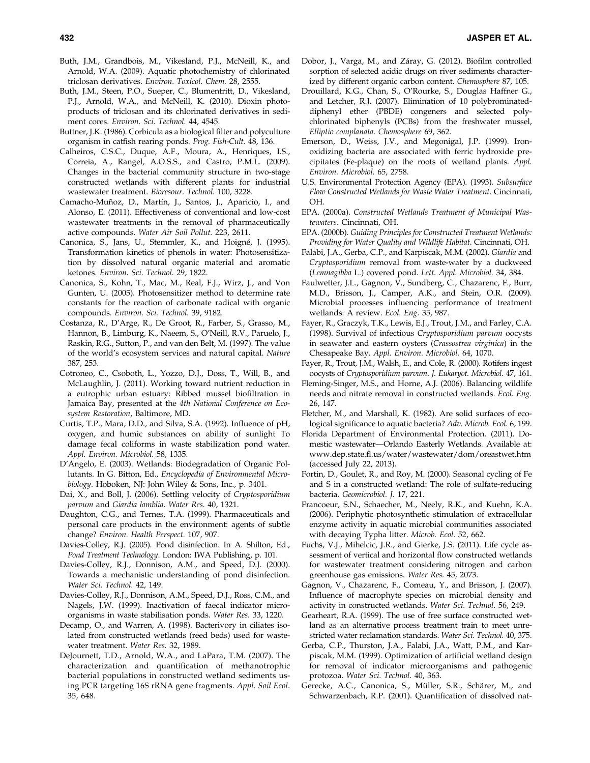- Buth, J.M., Grandbois, M., Vikesland, P.J., McNeill, K., and Arnold, W.A. (2009). Aquatic photochemistry of chlorinated triclosan derivatives. Environ. Toxicol. Chem. 28, 2555.
- Buth, J.M., Steen, P.O., Sueper, C., Blumentritt, D., Vikesland, P.J., Arnold, W.A., and McNeill, K. (2010). Dioxin photoproducts of triclosan and its chlorinated derivatives in sediment cores. Environ. Sci. Technol. 44, 4545.
- Buttner, J.K. (1986). Corbicula as a biological filter and polyculture organism in catfish rearing ponds. Prog. Fish-Cult. 48, 136.
- Calheiros, C.S.C., Duque, A.F., Moura, A., Henriques, I.S., Correia, A., Rangel, A.O.S.S., and Castro, P.M.L. (2009). Changes in the bacterial community structure in two-stage constructed wetlands with different plants for industrial wastewater treatment. Bioresour. Technol. 100, 3228.
- Camacho-Muñoz, D., Martín, J., Santos, J., Aparicio, I., and Alonso, E. (2011). Effectiveness of conventional and low-cost wastewater treatments in the removal of pharmaceutically active compounds. Water Air Soil Pollut. 223, 2611.
- Canonica, S., Jans, U., Stemmler, K., and Hoigné, J. (1995). Transformation kinetics of phenols in water: Photosensitization by dissolved natural organic material and aromatic ketones. Environ. Sci. Technol. 29, 1822.
- Canonica, S., Kohn, T., Mac, M., Real, F.J., Wirz, J., and Von Gunten, U. (2005). Photosensitizer method to determine rate constants for the reaction of carbonate radical with organic compounds. Environ. Sci. Technol. 39, 9182.
- Costanza, R., D'Arge, R., De Groot, R., Farber, S., Grasso, M., Hannon, B., Limburg, K., Naeem, S., O'Neill, R.V., Paruelo, J., Raskin, R.G., Sutton, P., and van den Belt, M. (1997). The value of the world's ecosystem services and natural capital. Nature 387, 253.
- Cotroneo, C., Csoboth, L., Yozzo, D.J., Doss, T., Will, B., and McLaughlin, J. (2011). Working toward nutrient reduction in a eutrophic urban estuary: Ribbed mussel biofiltration in Jamaica Bay, presented at the 4th National Conference on Ecosystem Restoration, Baltimore, MD.
- Curtis, T.P., Mara, D.D., and Silva, S.A. (1992). Influence of pH, oxygen, and humic substances on ability of sunlight To damage fecal coliforms in waste stabilization pond water. Appl. Environ. Microbiol. 58, 1335.
- D'Angelo, E. (2003). Wetlands: Biodegradation of Organic Pollutants. In G. Bitton, Ed., Encyclopedia of Environmental Microbiology. Hoboken, NJ: John Wiley & Sons, Inc., p. 3401.
- Dai, X., and Boll, J. (2006). Settling velocity of Cryptosporidium parvum and Giardia lamblia. Water Res. 40, 1321.
- Daughton, C.G., and Ternes, T.A. (1999). Pharmaceuticals and personal care products in the environment: agents of subtle change? Environ. Health Perspect. 107, 907.
- Davies-Colley, R.J. (2005). Pond disinfection. In A. Shilton, Ed., Pond Treatment Technology. London: IWA Publishing, p. 101.
- Davies-Colley, R.J., Donnison, A.M., and Speed, D.J. (2000). Towards a mechanistic understanding of pond disinfection. Water Sci. Technol. 42, 149.
- Davies-Colley, R.J., Donnison, A.M., Speed, D.J., Ross, C.M., and Nagels, J.W. (1999). Inactivation of faecal indicator microorganisms in waste stabilisation ponds. Water Res. 33, 1220.
- Decamp, O., and Warren, A. (1998). Bacterivory in ciliates isolated from constructed wetlands (reed beds) used for wastewater treatment. Water Res. 32, 1989.
- DeJournett, T.D., Arnold, W.A., and LaPara, T.M. (2007). The characterization and quantification of methanotrophic bacterial populations in constructed wetland sediments using PCR targeting 16S rRNA gene fragments. Appl. Soil Ecol. 35, 648.
- Dobor, J., Varga, M., and Záray, G. (2012). Biofilm controlled sorption of selected acidic drugs on river sediments characterized by different organic carbon content. Chemosphere 87, 105.
- Drouillard, K.G., Chan, S., O'Rourke, S., Douglas Haffner G., and Letcher, R.J. (2007). Elimination of 10 polybrominateddiphenyl ether (PBDE) congeners and selected polychlorinated biphenyls (PCBs) from the freshwater mussel, Elliptio complanata. Chemosphere 69, 362.
- Emerson, D., Weiss, J.V., and Megonigal, J.P. (1999). Ironoxidizing bacteria are associated with ferric hydroxide precipitates (Fe-plaque) on the roots of wetland plants. Appl. Environ. Microbiol. 65, 2758.
- U.S. Environmental Protection Agency (EPA). (1993). Subsurface Flow Constructed Wetlands for Waste Water Treatment. Cincinnati, OH.
- EPA. (2000a). Constructed Wetlands Treatment of Municipal Wastewaters. Cincinnati, OH.
- EPA. (2000b). Guiding Principles for Constructed Treatment Wetlands: Providing for Water Quality and Wildlife Habitat. Cincinnati, OH.
- Falabi, J.A., Gerba, C.P., and Karpiscak, M.M. (2002). Giardia and Cryptosporidium removal from waste-water by a duckweed (Lemnagibba L.) covered pond. Lett. Appl. Microbiol. 34, 384.
- Faulwetter, J.L., Gagnon, V., Sundberg, C., Chazarenc, F., Burr, M.D., Brisson, J., Camper, A.K., and Stein, O.R. (2009). Microbial processes influencing performance of treatment wetlands: A review. Ecol. Eng. 35, 987.
- Fayer, R., Graczyk, T.K., Lewis, E.J., Trout, J.M., and Farley, C.A. (1998). Survival of infectious Cryptosporidium parvum oocysts in seawater and eastern oysters (Crassostrea virginica) in the Chesapeake Bay. Appl. Environ. Microbiol. 64, 1070.
- Fayer, R., Trout, J.M., Walsh, E., and Cole, R. (2000). Rotifers ingest oocysts of Cryptosporidium parvum. J. Eukaryot. Microbiol. 47, 161.
- Fleming-Singer, M.S., and Horne, A.J. (2006). Balancing wildlife needs and nitrate removal in constructed wetlands. Ecol. Eng. 26, 147.
- Fletcher, M., and Marshall, K. (1982). Are solid surfaces of ecological significance to aquatic bacteria? Adv. Microb. Ecol. 6, 199.
- Florida Department of Environmental Protection. (2011). Domestic wastewater—Orlando Easterly Wetlands. Available at: www.dep.state.fl.us/water/wastewater/dom/oreastwet.htm (accessed July 22, 2013).
- Fortin, D., Goulet, R., and Roy, M. (2000). Seasonal cycling of Fe and S in a constructed wetland: The role of sulfate-reducing bacteria. Geomicrobiol. J. 17, 221.
- Francoeur, S.N., Schaecher, M., Neely, R.K., and Kuehn, K.A. (2006). Periphytic photosynthetic stimulation of extracellular enzyme activity in aquatic microbial communities associated with decaying Typha litter. Microb. Ecol. 52, 662.
- Fuchs, V.J., Mihelcic, J.R., and Gierke, J.S. (2011). Life cycle assessment of vertical and horizontal flow constructed wetlands for wastewater treatment considering nitrogen and carbon greenhouse gas emissions. Water Res. 45, 2073.
- Gagnon, V., Chazarenc, F., Comeau, Y., and Brisson, J. (2007). Influence of macrophyte species on microbial density and activity in constructed wetlands. Water Sci. Technol. 56, 249.
- Gearheart, R.A. (1999). The use of free surface constructed wetland as an alternative process treatment train to meet unrestricted water reclamation standards. Water Sci. Technol. 40, 375.
- Gerba, C.P., Thurston, J.A., Falabi, J.A., Watt, P.M., and Karpiscak, M.M. (1999). Optimization of artificial wetland design for removal of indicator microorganisms and pathogenic protozoa. Water Sci. Technol. 40, 363.
- Gerecke, A.C., Canonica, S., Müller, S.R., Schärer, M., and Schwarzenbach, R.P. (2001). Quantification of dissolved nat-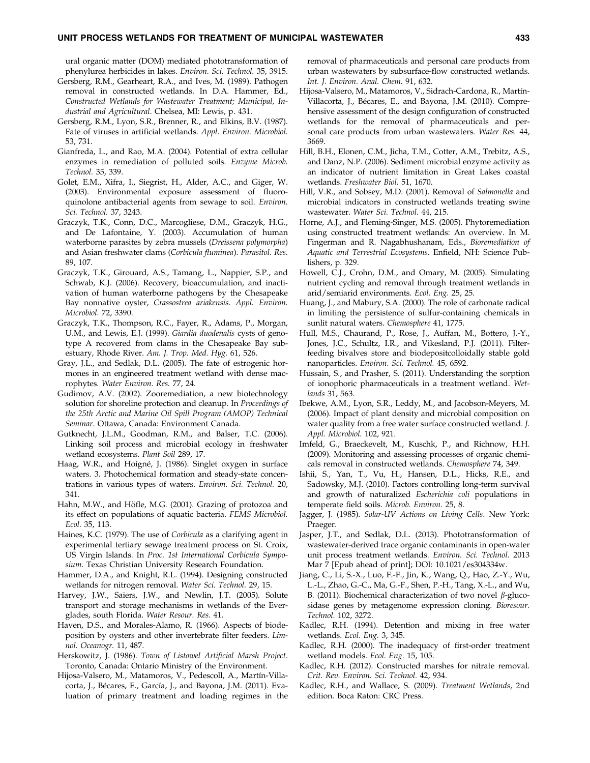ural organic matter (DOM) mediated phototransformation of phenylurea herbicides in lakes. Environ. Sci. Technol. 35, 3915.

- Gersberg, R.M., Gearheart, R.A., and Ives, M. (1989). Pathogen removal in constructed wetlands. In D.A. Hammer, Ed., Constructed Wetlands for Wastewater Treatment; Municipal, Industrial and Agricultural. Chelsea, MI: Lewis, p. 431.
- Gersberg, R.M., Lyon, S.R., Brenner, R., and Elkins, B.V. (1987). Fate of viruses in artificial wetlands. Appl. Environ. Microbiol. 53, 731.
- Gianfreda, L., and Rao, M.A. (2004). Potential of extra cellular enzymes in remediation of polluted soils. Enzyme Microb. Technol. 35, 339.
- Golet, E.M., Xifra, I., Siegrist, H., Alder, A.C., and Giger, W. (2003). Environmental exposure assessment of fluoroquinolone antibacterial agents from sewage to soil. Environ. Sci. Technol. 37, 3243.
- Graczyk, T.K., Conn, D.C., Marcogliese, D.M., Graczyk, H.G., and De Lafontaine, Y. (2003). Accumulation of human waterborne parasites by zebra mussels (Dreissena polymorpha) and Asian freshwater clams (Corbicula fluminea). Parasitol. Res. 89, 107.
- Graczyk, T.K., Girouard, A.S., Tamang, L., Nappier, S.P., and Schwab, K.J. (2006). Recovery, bioaccumulation, and inactivation of human waterborne pathogens by the Chesapeake Bay nonnative oyster, Crassostrea ariakensis. Appl. Environ. Microbiol. 72, 3390.
- Graczyk, T.K., Thompson, R.C., Fayer, R., Adams, P., Morgan, U.M., and Lewis, E.J. (1999). Giardia duodenalis cysts of genotype A recovered from clams in the Chesapeake Bay subestuary, Rhode River. Am. J. Trop. Med. Hyg. 61, 526.
- Gray, J.L., and Sedlak, D.L. (2005). The fate of estrogenic hormones in an engineered treatment wetland with dense macrophytes. Water Environ. Res. 77, 24.
- Gudimov, A.V. (2002). Zooremediation, a new biotechnology solution for shoreline protection and cleanup. In Proceedings of the 25th Arctic and Marine Oil Spill Program (AMOP) Technical Seminar. Ottawa, Canada: Environment Canada.
- Gutknecht, J.L.M., Goodman, R.M., and Balser, T.C. (2006). Linking soil process and microbial ecology in freshwater wetland ecosystems. Plant Soil 289, 17.
- Haag, W.R., and Hoigné, J. (1986). Singlet oxygen in surface waters. 3. Photochemical formation and steady-state concentrations in various types of waters. Environ. Sci. Technol. 20, 341.
- Hahn, M.W., and Höfle, M.G. (2001). Grazing of protozoa and its effect on populations of aquatic bacteria. FEMS Microbiol. Ecol. 35, 113.
- Haines, K.C. (1979). The use of Corbicula as a clarifying agent in experimental tertiary sewage treatment process on St. Croix, US Virgin Islands. In Proc. 1st International Corbicula Symposium. Texas Christian University Research Foundation.
- Hammer, D.A., and Knight, R.L. (1994). Designing constructed wetlands for nitrogen removal. Water Sci. Technol. 29, 15.
- Harvey, J.W., Saiers, J.W., and Newlin, J.T. (2005). Solute transport and storage mechanisms in wetlands of the Everglades, south Florida. Water Resour. Res. 41.
- Haven, D.S., and Morales-Alamo, R. (1966). Aspects of biodeposition by oysters and other invertebrate filter feeders. Limnol. Oceanogr. 11, 487.
- Herskowitz, J. (1986). Town of Listowel Artificial Marsh Project. Toronto, Canada: Ontario Ministry of the Environment.
- Hijosa-Valsero, M., Matamoros, V., Pedescoll, A., Martín-Villacorta, J., Bécares, E., García, J., and Bayona, J.M. (2011). Evaluation of primary treatment and loading regimes in the

removal of pharmaceuticals and personal care products from urban wastewaters by subsurface-flow constructed wetlands. Int. J. Environ. Anal. Chem. 91, 632.

- Hijosa-Valsero, M., Matamoros, V., Sidrach-Cardona, R., Martín-Villacorta, J., Bécares, E., and Bayona, J.M. (2010). Comprehensive assessment of the design configuration of constructed wetlands for the removal of pharmaceuticals and personal care products from urban wastewaters. Water Res. 44, 3669.
- Hill, B.H., Elonen, C.M., Jicha, T.M., Cotter, A.M., Trebitz, A.S., and Danz, N.P. (2006). Sediment microbial enzyme activity as an indicator of nutrient limitation in Great Lakes coastal wetlands. Freshwater Biol. 51, 1670.
- Hill, V.R., and Sobsey, M.D. (2001). Removal of Salmonella and microbial indicators in constructed wetlands treating swine wastewater. Water Sci. Technol. 44, 215.
- Horne, A.J., and Fleming-Singer, M.S. (2005). Phytoremediation using constructed treatment wetlands: An overview. In M. Fingerman and R. Nagabhushanam, Eds., Bioremediation of Aquatic and Terrestrial Ecosystems. Enfield, NH: Science Publishers, p. 329.
- Howell, C.J., Crohn, D.M., and Omary, M. (2005). Simulating nutrient cycling and removal through treatment wetlands in arid/semiarid environments. Ecol. Eng. 25, 25.
- Huang, J., and Mabury, S.A. (2000). The role of carbonate radical in limiting the persistence of sulfur-containing chemicals in sunlit natural waters. Chemosphere 41, 1775.
- Hull, M.S., Chaurand, P., Rose, J., Auffan, M., Bottero, J.-Y., Jones, J.C., Schultz, I.R., and Vikesland, P.J. (2011). Filterfeeding bivalves store and biodepositcolloidally stable gold nanoparticles. Environ. Sci. Technol. 45, 6592.
- Hussain, S., and Prasher, S. (2011). Understanding the sorption of ionophoric pharmaceuticals in a treatment wetland. Wetlands 31, 563.
- Ibekwe, A.M., Lyon, S.R., Leddy, M., and Jacobson-Meyers, M. (2006). Impact of plant density and microbial composition on water quality from a free water surface constructed wetland. J. Appl. Microbiol. 102, 921.
- Imfeld, G., Braeckevelt, M., Kuschk, P., and Richnow, H.H. (2009). Monitoring and assessing processes of organic chemicals removal in constructed wetlands. Chemosphere 74, 349.
- Ishii, S., Yan, T., Vu, H., Hansen, D.L., Hicks, R.E., and Sadowsky, M.J. (2010). Factors controlling long-term survival and growth of naturalized Escherichia coli populations in temperate field soils. Microb. Environ. 25, 8.
- Jagger, J. (1985). Solar-UV Actions on Living Cells. New York: Praeger.
- Jasper, J.T., and Sedlak, D.L. (2013). Phototransformation of wastewater-derived trace organic contaminants in open-water unit process treatment wetlands. Environ. Sci. Technol. 2013 Mar 7 [Epub ahead of print]; DOI: 10.1021/es304334w.
- Jiang, C., Li, S.-X., Luo, F.-F., Jin, K., Wang, Q., Hao, Z.-Y., Wu, L.-L., Zhao, G.-C., Ma, G.-F., Shen, P.-H., Tang, X.-L., and Wu, B. (2011). Biochemical characterization of two novel  $\beta$ -glucosidase genes by metagenome expression cloning. Bioresour. Technol. 102, 3272.
- Kadlec, R.H. (1994). Detention and mixing in free water wetlands. Ecol. Eng. 3, 345.
- Kadlec, R.H. (2000). The inadequacy of first-order treatment wetland models. Ecol. Eng. 15, 105.
- Kadlec, R.H. (2012). Constructed marshes for nitrate removal. Crit. Rev. Environ. Sci. Technol. 42, 934.
- Kadlec, R.H., and Wallace, S. (2009). Treatment Wetlands, 2nd edition. Boca Raton: CRC Press.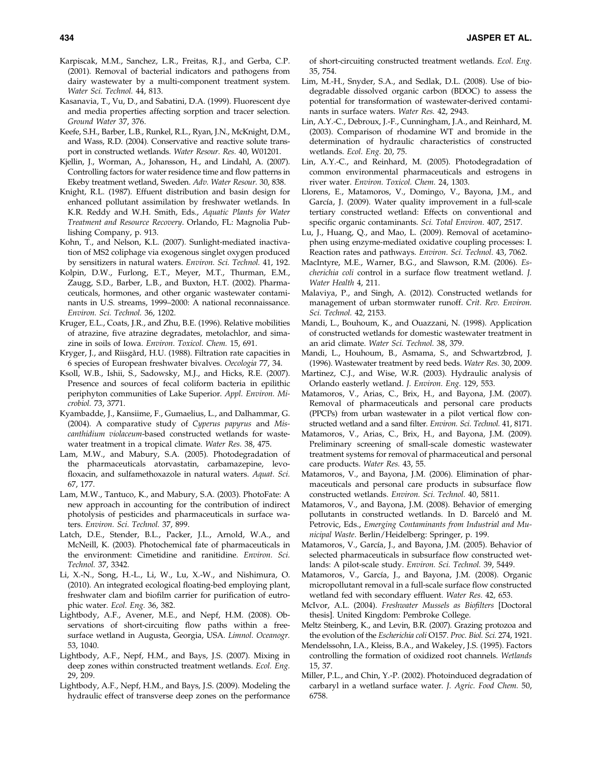- Karpiscak, M.M., Sanchez, L.R., Freitas, R.J., and Gerba, C.P. (2001). Removal of bacterial indicators and pathogens from dairy wastewater by a multi-component treatment system. Water Sci. Technol. 44, 813.
- Kasanavia, T., Vu, D., and Sabatini, D.A. (1999). Fluorescent dye and media properties affecting sorption and tracer selection. Ground Water 37, 376.
- Keefe, S.H., Barber, L.B., Runkel, R.L., Ryan, J.N., McKnight, D.M., and Wass, R.D. (2004). Conservative and reactive solute transport in constructed wetlands. Water Resour. Res. 40, W01201.
- Kjellin, J., Worman, A., Johansson, H., and Lindahl, A. (2007). Controlling factors for water residence time and flow patterns in Ekeby treatment wetland, Sweden. Adv. Water Resour. 30, 838.
- Knight, R.L. (1987). Effuent distribution and basin design for enhanced pollutant assimilation by freshwater wetlands. In K.R. Reddy and W.H. Smith, Eds., Aquatic Plants for Water Treatment and Resource Recovery. Orlando, FL: Magnolia Publishing Company, p. 913.
- Kohn, T., and Nelson, K.L. (2007). Sunlight-mediated inactivation of MS2 coliphage via exogenous singlet oxygen produced by sensitizers in natural waters. Environ. Sci. Technol. 41, 192.
- Kolpin, D.W., Furlong, E.T., Meyer, M.T., Thurman, E.M., Zaugg, S.D., Barber, L.B., and Buxton, H.T. (2002). Pharmaceuticals, hormones, and other organic wastewater contaminants in U.S. streams, 1999–2000: A national reconnaissance. Environ. Sci. Technol. 36, 1202.
- Kruger, E.L., Coats, J.R., and Zhu, B.E. (1996). Relative mobilities of atrazine, five atrazine degradates, metolachlor, and simazine in soils of Iowa. Environ. Toxicol. Chem. 15, 691.
- Kryger, J., and Riisgård, H.U. (1988). Filtration rate capacities in 6 species of European freshwater bivalves. Oecologia 77, 34.
- Ksoll, W.B., Ishii, S., Sadowsky, M.J., and Hicks, R.E. (2007). Presence and sources of fecal coliform bacteria in epilithic periphyton communities of Lake Superior. Appl. Environ. Microbiol. 73, 3771.
- Kyambadde, J., Kansiime, F., Gumaelius, L., and Dalhammar, G. (2004). A comparative study of Cyperus papyrus and Miscanthidium violaceum-based constructed wetlands for wastewater treatment in a tropical climate. Water Res. 38, 475.
- Lam, M.W., and Mabury, S.A. (2005). Photodegradation of the pharmaceuticals atorvastatin, carbamazepine, levofloxacin, and sulfamethoxazole in natural waters. Aquat. Sci. 67, 177.
- Lam, M.W., Tantuco, K., and Mabury, S.A. (2003). PhotoFate: A new approach in accounting for the contribution of indirect photolysis of pesticides and pharmaceuticals in surface waters. Environ. Sci. Technol. 37, 899.
- Latch, D.E., Stender, B.L., Packer, J.L., Arnold, W.A., and McNeill, K. (2003). Photochemical fate of pharmaceuticals in the environment: Cimetidine and ranitidine. Environ. Sci. Technol. 37, 3342.
- Li, X.-N., Song, H.-L., Li, W., Lu, X.-W., and Nishimura, O. (2010). An integrated ecological floating-bed employing plant, freshwater clam and biofilm carrier for purification of eutrophic water. Ecol. Eng. 36, 382.
- Lightbody, A.F., Avener, M.E., and Nepf, H.M. (2008). Observations of short-circuiting flow paths within a freesurface wetland in Augusta, Georgia, USA. Limnol. Oceanogr. 53, 1040.
- Lightbody, A.F., Nepf, H.M., and Bays, J.S. (2007). Mixing in deep zones within constructed treatment wetlands. Ecol. Eng. 29, 209.
- Lightbody, A.F., Nepf, H.M., and Bays, J.S. (2009). Modeling the hydraulic effect of transverse deep zones on the performance

of short-circuiting constructed treatment wetlands. Ecol. Eng. 35, 754.

- Lim, M.-H., Snyder, S.A., and Sedlak, D.L. (2008). Use of biodegradable dissolved organic carbon (BDOC) to assess the potential for transformation of wastewater-derived contaminants in surface waters. Water Res. 42, 2943.
- Lin, A.Y.-C., Debroux, J.-F., Cunningham, J.A., and Reinhard, M. (2003). Comparison of rhodamine WT and bromide in the determination of hydraulic characteristics of constructed wetlands. Ecol. Eng. 20, 75.
- Lin, A.Y.-C., and Reinhard, M. (2005). Photodegradation of common environmental pharmaceuticals and estrogens in river water. Environ. Toxicol. Chem. 24, 1303.
- Llorens, E., Matamoros, V., Domingo, V., Bayona, J.M., and García, J. (2009). Water quality improvement in a full-scale tertiary constructed wetland: Effects on conventional and specific organic contaminants. Sci. Total Environ. 407, 2517.
- Lu, J., Huang, Q., and Mao, L. (2009). Removal of acetaminophen using enzyme-mediated oxidative coupling processes: I. Reaction rates and pathways. Environ. Sci. Technol. 43, 7062.
- MacIntyre, M.E., Warner, B.G., and Slawson, R.M. (2006). Escherichia coli control in a surface flow treatment wetland. J. Water Health 4, 211.
- Malaviya, P., and Singh, A. (2012). Constructed wetlands for management of urban stormwater runoff. Crit. Rev. Environ. Sci. Technol. 42, 2153.
- Mandi, L., Bouhoum, K., and Ouazzani, N. (1998). Application of constructed wetlands for domestic wastewater treatment in an arid climate. Water Sci. Technol. 38, 379.
- Mandi, L., Houhoum, B., Asmama, S., and Schwartzbrod, J. (1996). Wastewater treatment by reed beds. Water Res. 30, 2009.
- Martinez, C.J., and Wise, W.R. (2003). Hydraulic analysis of Orlando easterly wetland. J. Environ. Eng. 129, 553.
- Matamoros, V., Arias, C., Brix, H., and Bayona, J.M. (2007). Removal of pharmaceuticals and personal care products (PPCPs) from urban wastewater in a pilot vertical flow constructed wetland and a sand filter. Environ. Sci. Technol. 41, 8171.
- Matamoros, V., Arias, C., Brix, H., and Bayona, J.M. (2009). Preliminary screening of small-scale domestic wastewater treatment systems for removal of pharmaceutical and personal care products. Water Res. 43, 55.
- Matamoros, V., and Bayona, J.M. (2006). Elimination of pharmaceuticals and personal care products in subsurface flow constructed wetlands. Environ. Sci. Technol. 40, 5811.
- Matamoros, V., and Bayona, J.M. (2008). Behavior of emerging pollutants in constructed wetlands. In D. Barceló and M. Petrovic, Eds., Emerging Contaminants from Industrial and Municipal Waste. Berlin/Heidelberg: Springer, p. 199.
- Matamoros, V., García, J., and Bayona, J.M. (2005). Behavior of selected pharmaceuticals in subsurface flow constructed wetlands: A pilot-scale study. Environ. Sci. Technol. 39, 5449.
- Matamoros, V., García, J., and Bayona, J.M. (2008). Organic micropollutant removal in a full-scale surface flow constructed wetland fed with secondary effluent. Water Res. 42, 653.
- McIvor, A.L. (2004). Freshwater Mussels as Biofilters [Doctoral thesis]. United Kingdom: Pembroke College.
- Meltz Steinberg, K., and Levin, B.R. (2007). Grazing protozoa and the evolution of the Escherichia coli O157. Proc. Biol. Sci. 274, 1921.
- Mendelssohn, I.A., Kleiss, B.A., and Wakeley, J.S. (1995). Factors controlling the formation of oxidized root channels. Wetlands 15, 37.
- Miller, P.L., and Chin, Y.-P. (2002). Photoinduced degradation of carbaryl in a wetland surface water. J. Agric. Food Chem. 50, 6758.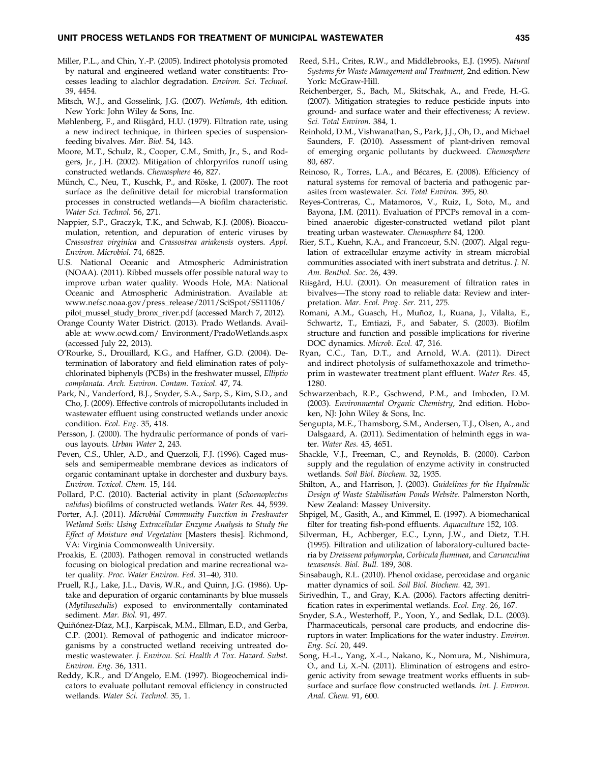#### UNIT PROCESS WETLANDS FOR TREATMENT OF MUNICIPAL WASTEWATER 435

- Miller, P.L., and Chin, Y.-P. (2005). Indirect photolysis promoted by natural and engineered wetland water constituents: Processes leading to alachlor degradation. Environ. Sci. Technol. 39, 4454.
- Mitsch, W.J., and Gosselink, J.G. (2007). Wetlands, 4th edition. New York: John Wiley & Sons, Inc.
- Møhlenberg, F., and Riisgård, H.U. (1979). Filtration rate, using a new indirect technique, in thirteen species of suspensionfeeding bivalves. Mar. Biol. 54, 143.
- Moore, M.T., Schulz, R., Cooper, C.M., Smith, Jr., S., and Rodgers, Jr., J.H. (2002). Mitigation of chlorpyrifos runoff using constructed wetlands. Chemosphere 46, 827.
- Münch, C., Neu, T., Kuschk, P., and Röske, I. (2007). The root surface as the definitive detail for microbial transformation processes in constructed wetlands—A biofilm characteristic. Water Sci. Technol. 56, 271.
- Nappier, S.P., Graczyk, T.K., and Schwab, K.J. (2008). Bioaccumulation, retention, and depuration of enteric viruses by Crassostrea virginica and Crassostrea ariakensis oysters. Appl. Environ. Microbiol. 74, 6825.
- U.S. National Oceanic and Atmospheric Administration (NOAA). (2011). Ribbed mussels offer possible natural way to improve urban water quality. Woods Hole, MA: National Oceanic and Atmospheric Administration. Available at: www.nefsc.noaa.gov/press\_release/2011/SciSpot/SS11106/ pilot\_mussel\_study\_bronx\_river.pdf (accessed March 7, 2012).
- Orange County Water District. (2013). Prado Wetlands. Available at: www.ocwd.com/ Environment/PradoWetlands.aspx (accessed July 22, 2013).
- O'Rourke, S., Drouillard, K.G., and Haffner, G.D. (2004). Determination of laboratory and field elimination rates of polychlorinated biphenyls (PCBs) in the freshwater mussel, Elliptio complanata. Arch. Environ. Contam. Toxicol. 47, 74.
- Park, N., Vanderford, B.J., Snyder, S.A., Sarp, S., Kim, S.D., and Cho, J. (2009). Effective controls of micropollutants included in wastewater effluent using constructed wetlands under anoxic condition. Ecol. Eng. 35, 418.
- Persson, J. (2000). The hydraulic performance of ponds of various layouts. Urban Water 2, 243.
- Peven, C.S., Uhler, A.D., and Querzoli, F.J. (1996). Caged mussels and semipermeable membrane devices as indicators of organic contaminant uptake in dorchester and duxbury bays. Environ. Toxicol. Chem. 15, 144.
- Pollard, P.C. (2010). Bacterial activity in plant (Schoenoplectus validus) biofilms of constructed wetlands. Water Res. 44, 5939.
- Porter, A.J. (2011). Microbial Community Function in Freshwater Wetland Soils: Using Extracellular Enzyme Analysis to Study the Effect of Moisture and Vegetation [Masters thesis]. Richmond, VA: Virginia Commonwealth University.
- Proakis, E. (2003). Pathogen removal in constructed wetlands focusing on biological predation and marine recreational water quality. Proc. Water Environ. Fed. 31–40, 310.
- Pruell, R.J., Lake, J.L., Davis, W.R., and Quinn, J.G. (1986). Uptake and depuration of organic contaminants by blue mussels (Mytilusedulis) exposed to environmentally contaminated sediment. Mar. Biol. 91, 497.
- Quiñónez-Díaz, M.J., Karpiscak, M.M., Ellman, E.D., and Gerba, C.P. (2001). Removal of pathogenic and indicator microorganisms by a constructed wetland receiving untreated domestic wastewater. J. Environ. Sci. Health A Tox. Hazard. Subst. Environ. Eng. 36, 1311.
- Reddy, K.R., and D'Angelo, E.M. (1997). Biogeochemical indicators to evaluate pollutant removal efficiency in constructed wetlands. Water Sci. Technol. 35, 1.
- Reed, S.H., Crites, R.W., and Middlebrooks, E.J. (1995). Natural Systems for Waste Management and Treatment, 2nd edition. New York: McGraw-Hill.
- Reichenberger, S., Bach, M., Skitschak, A., and Frede, H.-G. (2007). Mitigation strategies to reduce pesticide inputs into ground- and surface water and their effectiveness; A review. Sci. Total Environ. 384, 1.
- Reinhold, D.M., Vishwanathan, S., Park, J.J., Oh, D., and Michael Saunders, F. (2010). Assessment of plant-driven removal of emerging organic pollutants by duckweed. Chemosphere 80, 687.
- Reinoso, R., Torres, L.A., and Bécares, E. (2008). Efficiency of natural systems for removal of bacteria and pathogenic parasites from wastewater. Sci. Total Environ. 395, 80.
- Reyes-Contreras, C., Matamoros, V., Ruiz, I., Soto, M., and Bayona, J.M. (2011). Evaluation of PPCPs removal in a combined anaerobic digester-constructed wetland pilot plant treating urban wastewater. Chemosphere 84, 1200.
- Rier, S.T., Kuehn, K.A., and Francoeur, S.N. (2007). Algal regulation of extracellular enzyme activity in stream microbial communities associated with inert substrata and detritus. J. N. Am. Benthol. Soc. 26, 439.
- Riisgård, H.U. (2001). On measurement of filtration rates in bivalves—The stony road to reliable data: Review and interpretation. Mar. Ecol. Prog. Ser. 211, 275.
- Romani, A.M., Guasch, H., Muñoz, I., Ruana, J., Vilalta, E., Schwartz, T., Emtiazi, F., and Sabater, S. (2003). Biofilm structure and function and possible implications for riverine DOC dynamics. Microb. Ecol. 47, 316.
- Ryan, C.C., Tan, D.T., and Arnold, W.A. (2011). Direct and indirect photolysis of sulfamethoxazole and trimethoprim in wastewater treatment plant effluent. Water Res. 45, 1280.
- Schwarzenbach, R.P., Gschwend, P.M., and Imboden, D.M. (2003). Environmental Organic Chemistry, 2nd edition. Hoboken, NJ: John Wiley & Sons, Inc.
- Sengupta, M.E., Thamsborg, S.M., Andersen, T.J., Olsen, A., and Dalsgaard, A. (2011). Sedimentation of helminth eggs in water. Water Res. 45, 4651.
- Shackle, V.J., Freeman, C., and Reynolds, B. (2000). Carbon supply and the regulation of enzyme activity in constructed wetlands. Soil Biol. Biochem. 32, 1935.
- Shilton, A., and Harrison, J. (2003). Guidelines for the Hydraulic Design of Waste Stabilisation Ponds Website. Palmerston North, New Zealand: Massey University.
- Shpigel, M., Gasith, A., and Kimmel, E. (1997). A biomechanical filter for treating fish-pond effluents. Aquaculture 152, 103.
- Silverman, H., Achberger, E.C., Lynn, J.W., and Dietz, T.H. (1995). Filtration and utilization of laboratory-cultured bacteria by Dreissena polymorpha, Corbicula fluminea, and Carunculina texasensis. Biol. Bull. 189, 308.
- Sinsabaugh, R.L. (2010). Phenol oxidase, peroxidase and organic matter dynamics of soil. Soil Biol. Biochem. 42, 391.
- Sirivedhin, T., and Gray, K.A. (2006). Factors affecting denitrification rates in experimental wetlands. Ecol. Eng. 26, 167.
- Snyder, S.A., Westerhoff, P., Yoon, Y., and Sedlak, D.L. (2003). Pharmaceuticals, personal care products, and endocrine disruptors in water: Implications for the water industry. Environ. Eng. Sci. 20, 449.
- Song, H.-L., Yang, X.-L., Nakano, K., Nomura, M., Nishimura, O., and Li, X.-N. (2011). Elimination of estrogens and estrogenic activity from sewage treatment works effluents in subsurface and surface flow constructed wetlands. Int. J. Environ. Anal. Chem. 91, 600.